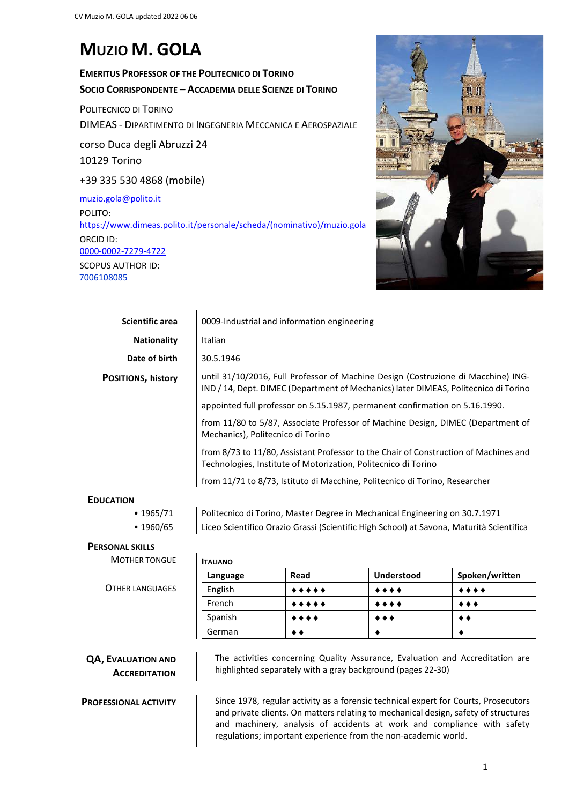# **MUZIO M. GOLA**

**EMERITUS PROFESSOR OF THE POLITECNICO DI TORINO SOCIO CORRISPONDENTE – ACCADEMIA DELLE SCIENZE DI TORINO**

POLITECNICO DI TORINO

DIMEAS - DIPARTIMENTO DI INGEGNERIA MECCANICA E AEROSPAZIALE

corso Duca degli Abruzzi 24 10129 Torino

+39 335 530 4868 (mobile)

[muzio.gola@polito.it](mailto:muzio.gola@polito.it) POLITO: [https://www.dimeas.polito.it/personale/scheda/\(nominativo\)/muzio.gola](https://www.dimeas.polito.it/personale/scheda/(nominativo)/muzio.gola) ORCID ID: [0000-0002-7279-4722](https://orcid.org/0000-0002-7279-4722)

SCOPUS AUTHOR ID: 7006108085



| Scientific area           | 0009-Industrial and information engineering                                                                                                                              |
|---------------------------|--------------------------------------------------------------------------------------------------------------------------------------------------------------------------|
| <b>Nationality</b>        | Italian                                                                                                                                                                  |
| Date of birth             | 30.5.1946                                                                                                                                                                |
| <b>POSITIONS, history</b> | until 31/10/2016, Full Professor of Machine Design (Costruzione di Macchine) ING-<br>IND / 14, Dept. DIMEC (Department of Mechanics) later DIMEAS, Politecnico di Torino |
|                           | appointed full professor on 5.15.1987, permanent confirmation on 5.16.1990.                                                                                              |
|                           | from 11/80 to 5/87, Associate Professor of Machine Design, DIMEC (Department of<br>Mechanics), Politecnico di Torino                                                     |
|                           | from 8/73 to 11/80, Assistant Professor to the Chair of Construction of Machines and<br>Technologies, Institute of Motorization, Politecnico di Torino                   |
|                           | from 11/71 to 8/73, Istituto di Macchine, Politecnico di Torino, Researcher                                                                                              |
|                           |                                                                                                                                                                          |

# **EDUCATION**

| • 1965/71       | Politecnico di Torino, Master Degree in Mechanical Engineering on 30.7.1971              |
|-----------------|------------------------------------------------------------------------------------------|
| $\cdot$ 1960/65 | Liceo Scientifico Orazio Grassi (Scientific High School) at Savona, Maturità Scientifica |

## **PERSONAL SKILLS**

MOTHER TONGUE **ITALIANO**

OTHER LANGUAGES

| <b>HALIANO</b> |                                |                                |                                |
|----------------|--------------------------------|--------------------------------|--------------------------------|
| Language       | Read                           | <b>Understood</b>              | Spoken/written                 |
| English        |                                | $\bullet\bullet\bullet\bullet$ | $\bullet\bullet\bullet\bullet$ |
| French         |                                | $\bullet\bullet\bullet\bullet$ | $\bullet\bullet\bullet$        |
| Spanish        | $\bullet\bullet\bullet\bullet$ | $\bullet\bullet\bullet$        | $\bullet\bullet$               |
| German         | ◆◆                             |                                |                                |

## **QA, EVALUATION AND ACCREDITATION**

The activities concerning Quality Assurance, Evaluation and Accreditation are highlighted separately with a gray background (pages 22-30)

**PROFESSIONAL ACTIVITY** | Since 1978, regular activity as a forensic technical expert for Courts, Prosecutors and private clients. On matters relating to mechanical design, safety of structures and machinery, analysis of accidents at work and compliance with safety regulations; important experience from the non-academic world.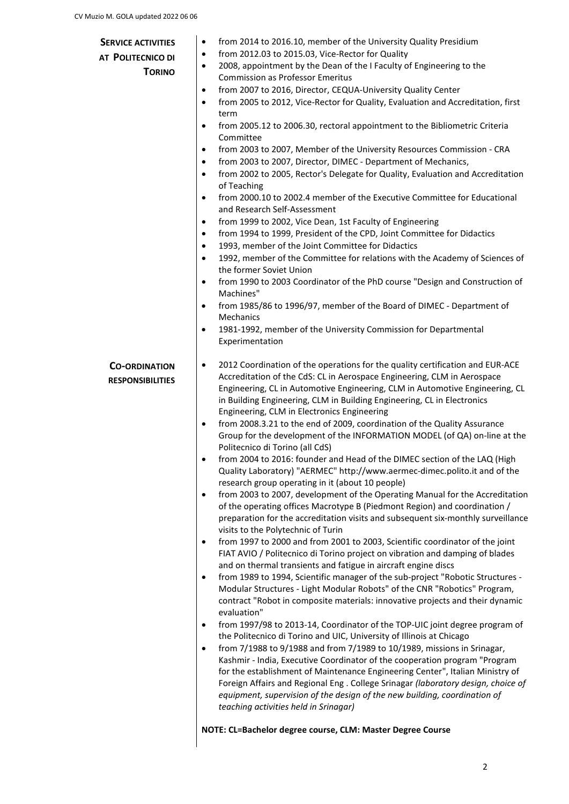| <b>SERVICE ACTIVITIES</b><br>AT POLITECNICO DI<br><b>TORINO</b> | from 2014 to 2016.10, member of the University Quality Presidium<br>$\bullet$<br>from 2012.03 to 2015.03, Vice-Rector for Quality<br>$\bullet$<br>2008, appointment by the Dean of the I Faculty of Engineering to the<br>$\bullet$<br><b>Commission as Professor Emeritus</b>                                                                                        |
|-----------------------------------------------------------------|-----------------------------------------------------------------------------------------------------------------------------------------------------------------------------------------------------------------------------------------------------------------------------------------------------------------------------------------------------------------------|
|                                                                 | from 2007 to 2016, Director, CEQUA-University Quality Center<br>$\bullet$<br>from 2005 to 2012, Vice-Rector for Quality, Evaluation and Accreditation, first<br>$\bullet$<br>term                                                                                                                                                                                     |
|                                                                 | from 2005.12 to 2006.30, rectoral appointment to the Bibliometric Criteria<br>$\bullet$<br>Committee                                                                                                                                                                                                                                                                  |
|                                                                 | from 2003 to 2007, Member of the University Resources Commission - CRA<br>$\bullet$<br>from 2003 to 2007, Director, DIMEC - Department of Mechanics,<br>٠<br>from 2002 to 2005, Rector's Delegate for Quality, Evaluation and Accreditation<br>$\bullet$                                                                                                              |
|                                                                 | of Teaching<br>from 2000.10 to 2002.4 member of the Executive Committee for Educational<br>$\bullet$<br>and Research Self-Assessment                                                                                                                                                                                                                                  |
|                                                                 | from 1999 to 2002, Vice Dean, 1st Faculty of Engineering<br>$\bullet$<br>from 1994 to 1999, President of the CPD, Joint Committee for Didactics<br>$\bullet$<br>1993, member of the Joint Committee for Didactics<br>$\bullet$                                                                                                                                        |
|                                                                 | 1992, member of the Committee for relations with the Academy of Sciences of<br>$\bullet$<br>the former Soviet Union<br>from 1990 to 2003 Coordinator of the PhD course "Design and Construction of<br>$\bullet$                                                                                                                                                       |
|                                                                 | Machines"<br>from 1985/86 to 1996/97, member of the Board of DIMEC - Department of<br>$\bullet$<br>Mechanics                                                                                                                                                                                                                                                          |
|                                                                 | 1981-1992, member of the University Commission for Departmental<br>$\bullet$<br>Experimentation                                                                                                                                                                                                                                                                       |
| <b>CO-ORDINATION</b><br><b>RESPONSIBILITIES</b>                 | 2012 Coordination of the operations for the quality certification and EUR-ACE<br>$\bullet$<br>Accreditation of the CdS: CL in Aerospace Engineering, CLM in Aerospace<br>Engineering, CL in Automotive Engineering, CLM in Automotive Engineering, CL<br>in Building Engineering, CLM in Building Engineering, CL in Electronics                                      |
|                                                                 | Engineering, CLM in Electronics Engineering<br>from 2008.3.21 to the end of 2009, coordination of the Quality Assurance<br>$\bullet$<br>Group for the development of the INFORMATION MODEL (of QA) on-line at the<br>Politecnico di Torino (all CdS)                                                                                                                  |
|                                                                 | from 2004 to 2016: founder and Head of the DIMEC section of the LAQ (High<br>Quality Laboratory) "AERMEC" http://www.aermec-dimec.polito.it and of the<br>research group operating in it (about 10 people)                                                                                                                                                            |
|                                                                 | from 2003 to 2007, development of the Operating Manual for the Accreditation<br>$\bullet$<br>of the operating offices Macrotype B (Piedmont Region) and coordination /<br>preparation for the accreditation visits and subsequent six-monthly surveillance<br>visits to the Polytechnic of Turin                                                                      |
|                                                                 | from 1997 to 2000 and from 2001 to 2003, Scientific coordinator of the joint<br>$\bullet$<br>FIAT AVIO / Politecnico di Torino project on vibration and damping of blades<br>and on thermal transients and fatigue in aircraft engine discs                                                                                                                           |
|                                                                 | from 1989 to 1994, Scientific manager of the sub-project "Robotic Structures -<br>$\bullet$<br>Modular Structures - Light Modular Robots" of the CNR "Robotics" Program,<br>contract "Robot in composite materials: innovative projects and their dynamic<br>evaluation"                                                                                              |
|                                                                 | from 1997/98 to 2013-14, Coordinator of the TOP-UIC joint degree program of<br>$\bullet$<br>the Politecnico di Torino and UIC, University of Illinois at Chicago<br>from 7/1988 to 9/1988 and from 7/1989 to 10/1989, missions in Srinagar,                                                                                                                           |
|                                                                 | Kashmir - India, Executive Coordinator of the cooperation program "Program<br>for the establishment of Maintenance Engineering Center", Italian Ministry of<br>Foreign Affairs and Regional Eng. College Srinagar (laboratory design, choice of<br>equipment, supervision of the design of the new building, coordination of<br>teaching activities held in Srinagar) |
|                                                                 | NOTE: CL=Bachelor degree course, CLM: Master Degree Course                                                                                                                                                                                                                                                                                                            |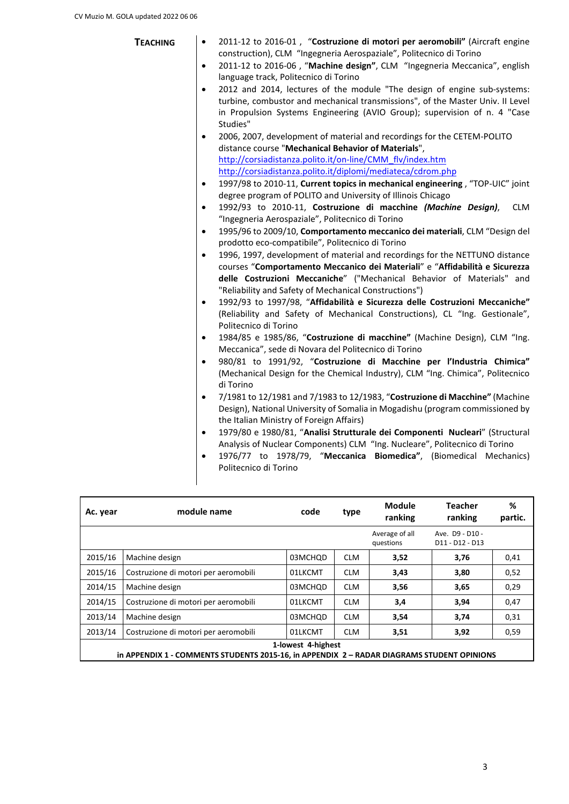| <b>TEACHING</b> | 2011-12 to 2016-01, "Costruzione di motori per aeromobili" (Aircraft engine<br>$\bullet$<br>construction), CLM "Ingegneria Aerospaziale", Politecnico di Torino<br>2011-12 to 2016-06, "Machine design", CLM "Ingegneria Meccanica", english<br>$\bullet$<br>language track, Politecnico di Torino<br>2012 and 2014, lectures of the module "The design of engine sub-systems:<br>$\bullet$<br>turbine, combustor and mechanical transmissions", of the Master Univ. II Level<br>in Propulsion Systems Engineering (AVIO Group); supervision of n. 4 "Case<br>Studies"<br>2006, 2007, development of material and recordings for the CETEM-POLITO<br>distance course "Mechanical Behavior of Materials",<br>http://corsiadistanza.polito.it/on-line/CMM_flv/index.htm<br>http://corsiadistanza.polito.it/diplomi/mediateca/cdrom.php<br>1997/98 to 2010-11, Current topics in mechanical engineering, "TOP-UIC" joint<br>$\bullet$<br>degree program of POLITO and University of Illinois Chicago<br>1992/93 to 2010-11, Costruzione di macchine (Machine Design),<br><b>CLM</b><br>$\bullet$<br>"Ingegneria Aerospaziale", Politecnico di Torino<br>1995/96 to 2009/10, Comportamento meccanico dei materiali, CLM "Design del<br>$\bullet$<br>prodotto eco-compatibile", Politecnico di Torino<br>1996, 1997, development of material and recordings for the NETTUNO distance<br>$\bullet$<br>courses "Comportamento Meccanico dei Materiali" e "Affidabilità e Sicurezza<br>delle Costruzioni Meccaniche" ("Mechanical Behavior of Materials" and<br>"Reliability and Safety of Mechanical Constructions")<br>1992/93 to 1997/98, "Affidabilità e Sicurezza delle Costruzioni Meccaniche"<br>$\bullet$<br>(Reliability and Safety of Mechanical Constructions), CL "Ing. Gestionale",<br>Politecnico di Torino<br>1984/85 e 1985/86, "Costruzione di macchine" (Machine Design), CLM "Ing.<br>$\bullet$<br>Meccanica", sede di Novara del Politecnico di Torino<br>980/81 to 1991/92, "Costruzione di Macchine per l'Industria Chimica"<br>$\bullet$<br>(Mechanical Design for the Chemical Industry), CLM "Ing. Chimica", Politecnico<br>di Torino<br>7/1981 to 12/1981 and 7/1983 to 12/1983, "Costruzione di Macchine" (Machine<br>$\bullet$<br>Design), National University of Somalia in Mogadishu (program commissioned by<br>the Italian Ministry of Foreign Affairs)<br>1979/80 e 1980/81, "Analisi Strutturale dei Componenti Nucleari" (Structural<br>$\bullet$<br>Analysis of Nuclear Components) CLM "Ing. Nucleare", Politecnico di Torino<br>1976/77 to 1978/79, "Meccanica Biomedica", (Biomedical Mechanics)<br>$\bullet$<br>Politecnico di Torino |
|-----------------|-----------------------------------------------------------------------------------------------------------------------------------------------------------------------------------------------------------------------------------------------------------------------------------------------------------------------------------------------------------------------------------------------------------------------------------------------------------------------------------------------------------------------------------------------------------------------------------------------------------------------------------------------------------------------------------------------------------------------------------------------------------------------------------------------------------------------------------------------------------------------------------------------------------------------------------------------------------------------------------------------------------------------------------------------------------------------------------------------------------------------------------------------------------------------------------------------------------------------------------------------------------------------------------------------------------------------------------------------------------------------------------------------------------------------------------------------------------------------------------------------------------------------------------------------------------------------------------------------------------------------------------------------------------------------------------------------------------------------------------------------------------------------------------------------------------------------------------------------------------------------------------------------------------------------------------------------------------------------------------------------------------------------------------------------------------------------------------------------------------------------------------------------------------------------------------------------------------------------------------------------------------------------------------------------------------------------------------------------------------------------------------------------------------------------------------------------------------------------------------------------------------------------------------------------------------------------------------------------------------------------------------------------------------------------|
|                 |                                                                                                                                                                                                                                                                                                                                                                                                                                                                                                                                                                                                                                                                                                                                                                                                                                                                                                                                                                                                                                                                                                                                                                                                                                                                                                                                                                                                                                                                                                                                                                                                                                                                                                                                                                                                                                                                                                                                                                                                                                                                                                                                                                                                                                                                                                                                                                                                                                                                                                                                                                                                                                                                       |

| Ac. year | module name                                                                                                      | code    | type       | <b>Module</b><br>ranking    | <b>Teacher</b><br>ranking                                              | %<br>partic. |
|----------|------------------------------------------------------------------------------------------------------------------|---------|------------|-----------------------------|------------------------------------------------------------------------|--------------|
|          |                                                                                                                  |         |            | Average of all<br>questions | Ave. D9 - D10 -<br>D <sub>11</sub> - D <sub>12</sub> - D <sub>13</sub> |              |
| 2015/16  | Machine design                                                                                                   | 03MCHQD | <b>CLM</b> | 3,52                        | 3,76                                                                   | 0,41         |
| 2015/16  | Costruzione di motori per aeromobili                                                                             | 01LKCMT | <b>CLM</b> | 3,43                        | 3,80                                                                   | 0,52         |
| 2014/15  | Machine design                                                                                                   | 03MCHQD | <b>CLM</b> | 3,56                        | 3,65                                                                   | 0,29         |
| 2014/15  | Costruzione di motori per aeromobili                                                                             | 01LKCMT | <b>CLM</b> | 3,4                         | 3,94                                                                   | 0,47         |
| 2013/14  | Machine design                                                                                                   | 03MCHOD | <b>CLM</b> | 3,54                        | 3,74                                                                   | 0,31         |
| 2013/14  | Costruzione di motori per aeromobili                                                                             | 01LKCMT | <b>CLM</b> | 3,51                        | 3,92                                                                   | 0,59         |
|          | 1-lowest 4-highest<br>in APPENDIX 1 - COMMENTS STUDENTS 2015-16, in APPENDIX 2 - RADAR DIAGRAMS STUDENT OPINIONS |         |            |                             |                                                                        |              |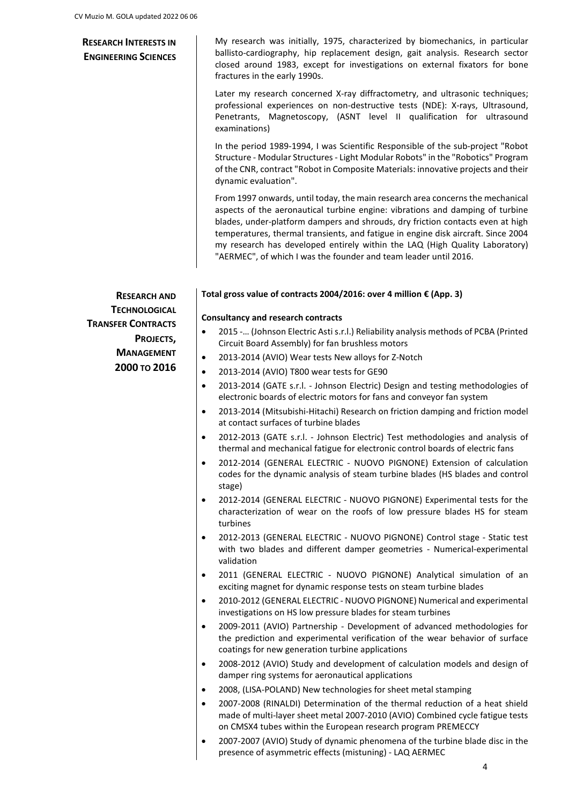## **RESEARCH INTERESTS IN ENGINEERING SCIENCES**

My research was initially, 1975, characterized by biomechanics, in particular ballisto-cardiography, hip replacement design, gait analysis. Research sector closed around 1983, except for investigations on external fixators for bone fractures in the early 1990s.

Later my research concerned X-ray diffractometry, and ultrasonic techniques; professional experiences on non-destructive tests (NDE): X-rays, Ultrasound, Penetrants, Magnetoscopy, (ASNT level II qualification for ultrasound examinations)

In the period 1989-1994, I was Scientific Responsible of the sub-project "Robot Structure - Modular Structures - Light Modular Robots" in the "Robotics" Program of the CNR, contract "Robot in Composite Materials: innovative projects and their dynamic evaluation".

From 1997 onwards, until today, the main research area concerns the mechanical aspects of the aeronautical turbine engine: vibrations and damping of turbine blades, under-platform dampers and shrouds, dry friction contacts even at high temperatures, thermal transients, and fatigue in engine disk aircraft. Since 2004 my research has developed entirely within the LAQ (High Quality Laboratory) "AERMEC", of which I was the founder and team leader until 2016.

**RESEARCH AND TECHNOLOGICAL TRANSFER CONTRACTS PROJECTS, MANAGEMENT 2000 TO 2016**

## **Total gross value of contracts 2004/2016: over 4 million € (App. 3)**

#### **Consultancy and research contracts**

- 2015 -… (Johnson Electric Asti s.r.l.) Reliability analysis methods of PCBA (Printed Circuit Board Assembly) for fan brushless motors
- 2013-2014 (AVIO) Wear tests New alloys for Z-Notch
- 2013-2014 (AVIO) T800 wear tests for GE90
- 2013-2014 (GATE s.r.l. Johnson Electric) Design and testing methodologies of electronic boards of electric motors for fans and conveyor fan system
- 2013-2014 (Mitsubishi-Hitachi) Research on friction damping and friction model at contact surfaces of turbine blades
- 2012-2013 (GATE s.r.l. Johnson Electric) Test methodologies and analysis of thermal and mechanical fatigue for electronic control boards of electric fans
- 2012-2014 (GENERAL ELECTRIC NUOVO PIGNONE) Extension of calculation codes for the dynamic analysis of steam turbine blades (HS blades and control stage)
- 2012-2014 (GENERAL ELECTRIC NUOVO PIGNONE) Experimental tests for the characterization of wear on the roofs of low pressure blades HS for steam turbines
- 2012-2013 (GENERAL ELECTRIC NUOVO PIGNONE) Control stage Static test with two blades and different damper geometries - Numerical-experimental validation
- 2011 (GENERAL ELECTRIC NUOVO PIGNONE) Analytical simulation of an exciting magnet for dynamic response tests on steam turbine blades
- 2010-2012 (GENERAL ELECTRIC NUOVO PIGNONE) Numerical and experimental investigations on HS low pressure blades for steam turbines
- 2009-2011 (AVIO) Partnership Development of advanced methodologies for the prediction and experimental verification of the wear behavior of surface coatings for new generation turbine applications
- 2008-2012 (AVIO) Study and development of calculation models and design of damper ring systems for aeronautical applications
- 2008, (LISA-POLAND) New technologies for sheet metal stamping
- 2007-2008 (RINALDI) Determination of the thermal reduction of a heat shield made of multi-layer sheet metal 2007-2010 (AVIO) Combined cycle fatigue tests on CMSX4 tubes within the European research program PREMECCY
- 2007-2007 (AVIO) Study of dynamic phenomena of the turbine blade disc in the presence of asymmetric effects (mistuning) - LAQ AERMEC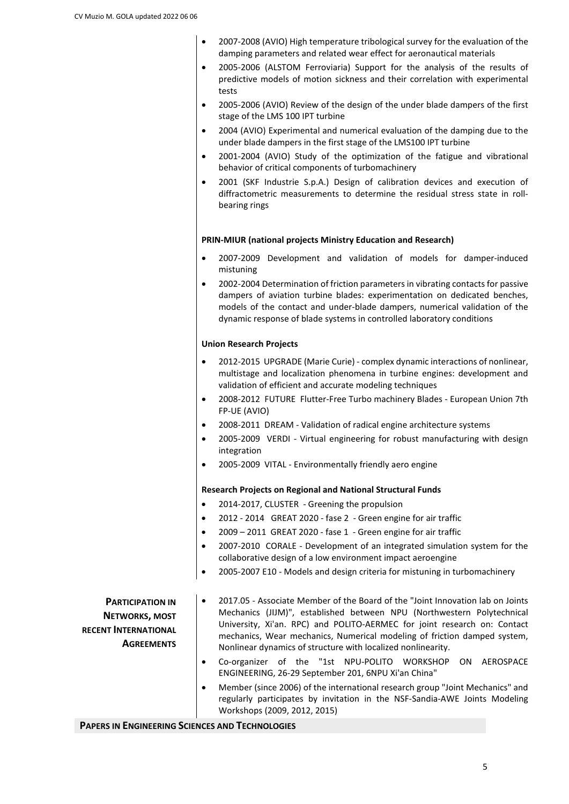| 2007-2008 (AVIO) High temperature tribological survey for the evaluation of the |
|---------------------------------------------------------------------------------|
| damping parameters and related wear effect for aeronautical materials           |

- 2005-2006 (ALSTOM Ferroviaria) Support for the analysis of the results of predictive models of motion sickness and their correlation with experimental tests
- 2005-2006 (AVIO) Review of the design of the under blade dampers of the first stage of the LMS 100 IPT turbine
- 2004 (AVIO) Experimental and numerical evaluation of the damping due to the under blade dampers in the first stage of the LMS100 IPT turbine
- 2001-2004 (AVIO) Study of the optimization of the fatigue and vibrational behavior of critical components of turbomachinery
- 2001 (SKF Industrie S.p.A.) Design of calibration devices and execution of diffractometric measurements to determine the residual stress state in rollbearing rings

## **PRIN-MIUR (national projects Ministry Education and Research)**

- 2007-2009 Development and validation of models for damper-induced mistuning
- 2002-2004 Determination of friction parameters in vibrating contacts for passive dampers of aviation turbine blades: experimentation on dedicated benches, models of the contact and under-blade dampers, numerical validation of the dynamic response of blade systems in controlled laboratory conditions

## **Union Research Projects**

- 2012-2015 UPGRADE (Marie Curie) complex dynamic interactions of nonlinear, multistage and localization phenomena in turbine engines: development and validation of efficient and accurate modeling techniques
- 2008-2012 FUTURE Flutter-Free Turbo machinery Blades European Union 7th FP-UE (AVIO)
- 2008-2011 DREAM Validation of radical engine architecture systems
- 2005-2009 VERDI Virtual engineering for robust manufacturing with design integration
- 2005-2009 VITAL Environmentally friendly aero engine

## **Research Projects on Regional and National Structural Funds**

- 2014-2017, CLUSTER Greening the propulsion
- 2012 2014 GREAT 2020 fase 2 Green engine for air traffic
- 2009 2011 GREAT 2020 fase 1 Green engine for air traffic
- 2007-2010 CORALE Development of an integrated simulation system for the collaborative design of a low environment impact aeroengine
- 2005-2007 E10 Models and design criteria for mistuning in turbomachinery

**PARTICIPATION IN NETWORKS, MOST RECENT INTERNATIONAL AGREEMENTS**  • 2017.05 - Associate Member of the Board of the "Joint Innovation lab on Joints Mechanics (JIJM)", established between NPU (Northwestern Polytechnical University, Xi'an. RPC) and POLITO-AERMEC for joint research on: Contact mechanics, Wear mechanics, Numerical modeling of friction damped system, Nonlinear dynamics of structure with localized nonlinearity. • Co-organizer of the "1st NPU-POLITO WORKSHOP ON AEROSPACE ENGINEERING, 26-29 September 201, 6NPU Xi'an China" • Member (since 2006) of the international research group "Joint Mechanics" and regularly participates by invitation in the NSF-Sandia-AWE Joints Modeling

Workshops (2009, 2012, 2015)

**PAPERS IN ENGINEERING SCIENCES AND TECHNOLOGIES**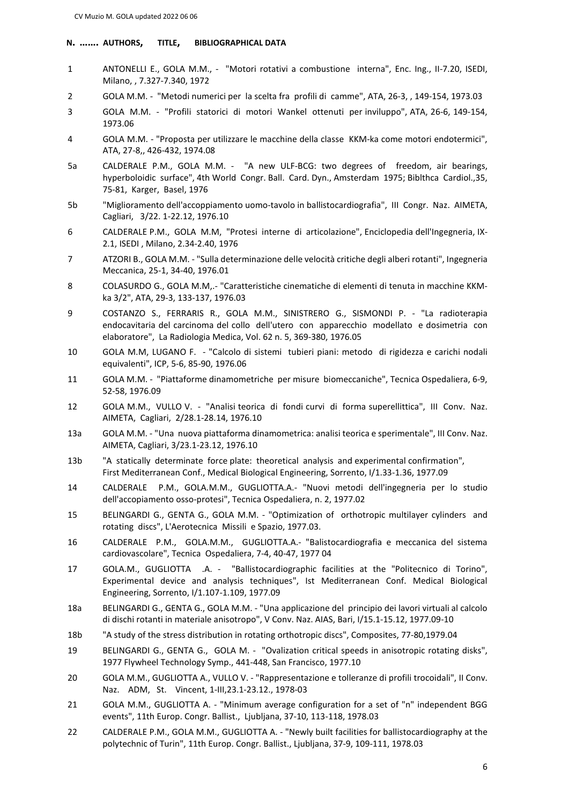#### **N. ……. AUTHORS, TITLE, BIBLIOGRAPHICAL DATA**

- 1 ANTONELLI E., GOLA M.M., "Motori rotativi a combustione interna", Enc. Ing., II-7.20, ISEDI, Milano, , 7.327-7.340, 1972
- 2 GOLA M.M. "Metodi numerici per la scelta fra profili di camme", ATA, 26-3, , 149-154, 1973.03
- 3 GOLA M.M. "Profili statorici di motori Wankel ottenuti per inviluppo", ATA, 26-6, 149-154, 1973.06
- 4 GOLA M.M. "Proposta per utilizzare le macchine della classe KKM-ka come motori endotermici", ATA, 27-8,, 426-432, 1974.08
- 5a CALDERALE P.M., GOLA M.M. "A new ULF-BCG: two degrees of freedom, air bearings, hyperboloidic surface", 4th World Congr. Ball. Card. Dyn., Amsterdam 1975; Biblthca Cardiol.,35, 75-81, Karger, Basel, 1976
- 5b "Miglioramento dell'accoppiamento uomo-tavolo in ballistocardiografia", III Congr. Naz. AIMETA, Cagliari, 3/22. 1-22.12, 1976.10
- 6 CALDERALE P.M., GOLA M.M, "Protesi interne di articolazione", Enciclopedia dell'Ingegneria, IX-2.1, ISEDI , Milano, 2.34-2.40, 1976
- 7 ATZORI B., GOLA M.M. "Sulla determinazione delle velocità critiche degli alberi rotanti", Ingegneria Meccanica, 25-1, 34-40, 1976.01
- 8 COLASURDO G., GOLA M.M,.- "Caratteristiche cinematiche di elementi di tenuta in macchine KKMka 3/2", ATA, 29-3, 133-137, 1976.03
- 9 COSTANZO S., FERRARIS R., GOLA M.M., SINISTRERO G., SISMONDI P. "La radioterapia endocavitaria del carcinoma del collo dell'utero con apparecchio modellato e dosimetria con elaboratore", La Radiologia Medica, Vol. 62 n. 5, 369-380, 1976.05
- 10 GOLA M.M, LUGANO F. "Calcolo di sistemi tubieri piani: metodo di rigidezza e carichi nodali equivalenti", ICP, 5-6, 85-90, 1976.06
- 11 GOLA M.M. "Piattaforme dinamometriche per misure biomeccaniche", Tecnica Ospedaliera, 6-9, 52-58, 1976.09
- 12 GOLA M.M., VULLO V. "Analisi teorica di fondi curvi di forma superellittica", III Conv. Naz. AIMETA, Cagliari, 2/28.1-28.14, 1976.10
- 13a GOLA M.M. "Una nuova piattaforma dinamometrica: analisi teorica e sperimentale", III Conv. Naz. AIMETA, Cagliari, 3/23.1-23.12, 1976.10
- 13b "A statically determinate force plate: theoretical analysis and experimental confirmation", First Mediterranean Conf., Medical Biological Engineering, Sorrento, I/1.33-1.36, 1977.09
- 14 CALDERALE P.M., GOLA.M.M., GUGLIOTTA.A.- "Nuovi metodi dell'ingegneria per lo studio dell'accopiamento osso-protesi", Tecnica Ospedaliera, n. 2, 1977.02
- 15 BELINGARDI G., GENTA G., GOLA M.M. "Optimization of orthotropic multilayer cylinders and rotating discs", L'Aerotecnica Missili e Spazio, 1977.03.
- 16 CALDERALE P.M., GOLA.M.M., GUGLIOTTA.A.- "Balistocardiografia e meccanica del sistema cardiovascolare", Tecnica Ospedaliera, 7-4, 40-47, 1977 04
- 17 GOLA.M., GUGLIOTTA .A. "Ballistocardiographic facilities at the "Politecnico di Torino", Experimental device and analysis techniques", Ist Mediterranean Conf. Medical Biological Engineering, Sorrento, I/1.107-1.109, 1977.09
- 18a BELINGARDI G., GENTA G., GOLA M.M. "Una applicazione del principio dei lavori virtuali al calcolo di dischi rotanti in materiale anisotropo", V Conv. Naz. AIAS, Bari, I/15.1-15.12, 1977.09-10
- 18b "A study of the stress distribution in rotating orthotropic discs", Composites, 77-80,1979.04
- 19 BELINGARDI G., GENTA G., GOLA M. "Ovalization critical speeds in anisotropic rotating disks", 1977 Flywheel Technology Symp., 441-448, San Francisco, 1977.10
- 20 GOLA M.M., GUGLIOTTA A., VULLO V. "Rappresentazione e tolleranze di profili trocoidali", II Conv. Naz. ADM, St. Vincent, 1-III,23.1-23.12., 1978-03
- 21 GOLA M.M., GUGLIOTTA A. "Minimum average configuration for a set of "n" independent BGG events", 11th Europ. Congr. Ballist., Ljubljana, 37-10, 113-118, 1978.03
- 22 CALDERALE P.M., GOLA M.M., GUGLIOTTA A. "Newly built facilities for ballistocardiography at the polytechnic of Turin", 11th Europ. Congr. Ballist., Ljubljana, 37-9, 109-111, 1978.03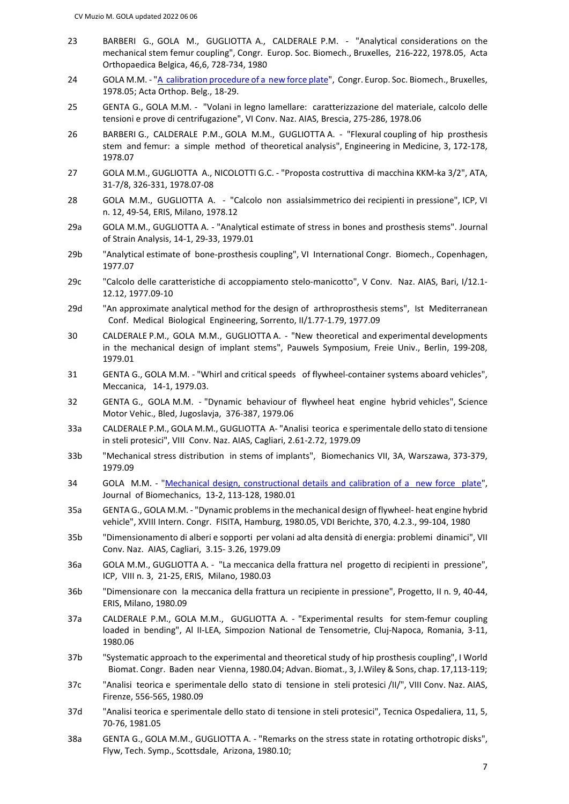- 23 BARBERI G., GOLA M., GUGLIOTTA A., CALDERALE P.M. "Analytical considerations on the mechanical stem femur coupling", Congr. Europ. Soc. Biomech., Bruxelles, 216-222, 1978.05, Acta Orthopaedica Belgica, 46,6, 728-734, 1980
- 24 GOLA M.M. "A calibration procedure of a new force plate", Congr. Europ. Soc. Biomech., Bruxelles, 1978.05; Acta Orthop. Belg., 18-29.
- 25 GENTA G., GOLA M.M. "Volani in legno lamellare: caratterizzazione del materiale, calcolo delle tensioni e prove di centrifugazione", VI Conv. Naz. AIAS, Brescia, 275-286, 1978.06
- 26 BARBERI G., CALDERALE P.M., GOLA M.M., GUGLIOTTA A. "Flexural coupling of hip prosthesis stem and femur: a simple method of theoretical analysis", Engineering in Medicine, 3, 172-178, 1978.07
- 27 GOLA M.M., GUGLIOTTA A., NICOLOTTI G.C. "Proposta costruttiva di macchina KKM-ka 3/2", ATA, 31-7/8, 326-331, 1978.07-08
- 28 GOLA M.M., GUGLIOTTA A. "Calcolo non assialsimmetrico dei recipienti in pressione", ICP, VI n. 12, 49-54, ERIS, Milano, 1978.12
- 29a GOLA M.M., GUGLIOTTA A. "Analytical estimate of stress in bones and prosthesis stems". Journal of Strain Analysis, 14-1, 29-33, 1979.01
- 29b "Analytical estimate of bone-prosthesis coupling", VI International Congr. Biomech., Copenhagen, 1977.07
- 29c "Calcolo delle caratteristiche di accoppiamento stelo-manicotto", V Conv. Naz. AIAS, Bari, I/12.1- 12.12, 1977.09-10
- 29d "An approximate analytical method for the design of arthroprosthesis stems", Ist Mediterranean Conf. Medical Biological Engineering, Sorrento, II/1.77-1.79, 1977.09
- 30 CALDERALE P.M., GOLA M.M., GUGLIOTTA A. "New theoretical and experimental developments in the mechanical design of implant stems", Pauwels Symposium, Freie Univ., Berlin, 199-208, 1979.01
- 31 GENTA G., GOLA M.M. "Whirl and critical speeds of flywheel-container systems aboard vehicles", Meccanica, 14-1, 1979.03.
- 32 GENTA G., GOLA M.M. "Dynamic behaviour of flywheel heat engine hybrid vehicles", Science Motor Vehic., Bled, Jugoslavja, 376-387, 1979.06
- 33a CALDERALE P.M., GOLA M.M., GUGLIOTTA A- "Analisi teorica e sperimentale dello stato di tensione in steli protesici", VIII Conv. Naz. AIAS, Cagliari, 2.61-2.72, 1979.09
- 33b "Mechanical stress distribution in stems of implants", Biomechanics VII, 3A, Warszawa, 373-379, 1979.09
- 34 GOLA M.M. "Mechanical design, constructional details and calibration of a new force plate", Journal of Biomechanics, 13-2, 113-128, 1980.01
- 35a GENTA G., GOLA M.M. "Dynamic problems in the mechanical design of flywheel- heat engine hybrid vehicle", XVIII Intern. Congr. FISITA, Hamburg, 1980.05, VDI Berichte, 370, 4.2.3., 99-104, 1980
- 35b "Dimensionamento di alberi e sopporti per volani ad alta densità di energia: problemi dinamici", VII Conv. Naz. AIAS, Cagliari, 3.15- 3.26, 1979.09
- 36a GOLA M.M., GUGLIOTTA A. "La meccanica della frattura nel progetto di recipienti in pressione", ICP, VIII n. 3, 21-25, ERIS, Milano, 1980.03
- 36b "Dimensionare con la meccanica della frattura un recipiente in pressione", Progetto, II n. 9, 40-44, ERIS, Milano, 1980.09
- 37a CALDERALE P.M., GOLA M.M., GUGLIOTTA A. "Experimental results for stem-femur coupling loaded in bending", Al II-LEA, Simpozion National de Tensometrie, Cluj-Napoca, Romania, 3-11, 1980.06
- 37b "Systematic approach to the experimental and theoretical study of hip prosthesis coupling", I World Biomat. Congr. Baden near Vienna, 1980.04; Advan. Biomat., 3, J.Wiley & Sons, chap. 17,113-119;
- 37c "Analisi teorica e sperimentale dello stato di tensione in steli protesici /II/", VIII Conv. Naz. AIAS, Firenze, 556-565, 1980.09
- 37d "Analisi teorica e sperimentale dello stato di tensione in steli protesici", Tecnica Ospedaliera, 11, 5, 70-76, 1981.05
- 38a GENTA G., GOLA M.M., GUGLIOTTA A. "Remarks on the stress state in rotating orthotropic disks", Flyw, Tech. Symp., Scottsdale, Arizona, 1980.10;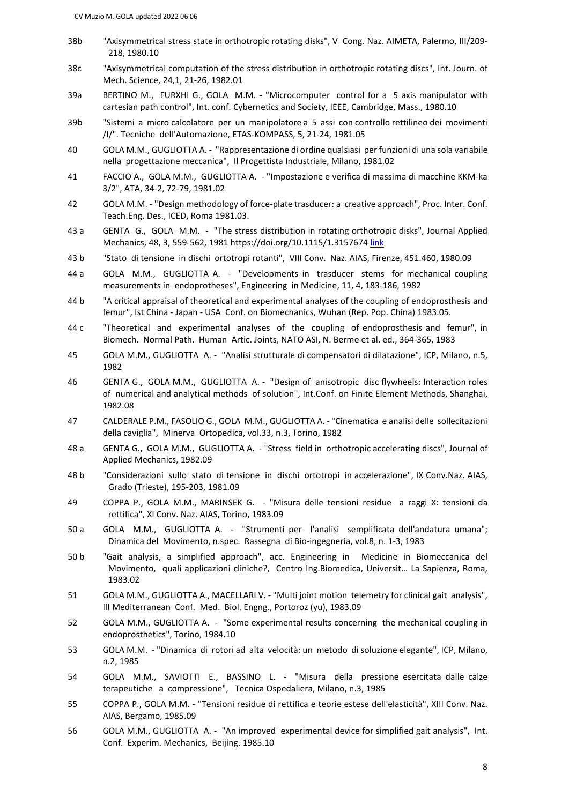- 38b "Axisymmetrical stress state in orthotropic rotating disks", V Cong. Naz. AIMETA, Palermo, III/209- 218, 1980.10
- 38c "Axisymmetrical computation of the stress distribution in orthotropic rotating discs", Int. Journ. of Mech. Science, 24,1, 21-26, 1982.01
- 39a BERTINO M., FURXHI G., GOLA M.M. "Microcomputer control for a 5 axis manipulator with cartesian path control", Int. conf. Cybernetics and Society, IEEE, Cambridge, Mass., 1980.10
- 39b "Sistemi a micro calcolatore per un manipolatore a 5 assi con controllo rettilineo dei movimenti /I/". Tecniche dell'Automazione, ETAS-KOMPASS, 5, 21-24, 1981.05
- 40 GOLA M.M., GUGLIOTTA A. "Rappresentazione di ordine qualsiasi per funzioni di una sola variabile nella progettazione meccanica", Il Progettista Industriale, Milano, 1981.02
- 41 FACCIO A., GOLA M.M., GUGLIOTTA A. "Impostazione e verifica di massima di macchine KKM-ka 3/2", ATA, 34-2, 72-79, 1981.02
- 42 GOLA M.M. "Design methodology of force-plate trasducer: a creative approach", Proc. Inter. Conf. Teach.Eng. Des., ICED, Roma 1981.03.
- 43 a GENTA G., GOLA M.M. "The stress distribution in rotating orthotropic disks", Journal Applied Mechanics, 48, 3, 559-562, 1981 https://doi.org/10.1115/1.3157674 link
- 43 b "Stato di tensione in dischi ortotropi rotanti", VIII Conv. Naz. AIAS, Firenze, 451.460, 1980.09
- 44 a GOLA M.M., GUGLIOTTA A. "Developments in trasducer stems for mechanical coupling measurements in endoprotheses", Engineering in Medicine, 11, 4, 183-186, 1982
- 44 b "A critical appraisal of theoretical and experimental analyses of the coupling of endoprosthesis and femur", Ist China - Japan - USA Conf. on Biomechanics, Wuhan (Rep. Pop. China) 1983.05.
- 44 c "Theoretical and experimental analyses of the coupling of endoprosthesis and femur", in Biomech. Normal Path. Human Artic. Joints, NATO ASI, N. Berme et al. ed., 364-365, 1983
- 45 GOLA M.M., GUGLIOTTA A. "Analisi strutturale di compensatori di dilatazione", ICP, Milano, n.5, 1982
- 46 GENTA G., GOLA M.M., GUGLIOTTA A. "Design of anisotropic disc flywheels: Interaction roles of numerical and analytical methods of solution", Int.Conf. on Finite Element Methods, Shanghai, 1982.08
- 47 CALDERALE P.M., FASOLIO G., GOLA M.M., GUGLIOTTA A. "Cinematica e analisi delle sollecitazioni della caviglia", Minerva Ortopedica, vol.33, n.3, Torino, 1982
- 48 a GENTA G., GOLA M.M., GUGLIOTTA A. "Stress field in orthotropic accelerating discs", Journal of Applied Mechanics, 1982.09
- 48 b "Considerazioni sullo stato di tensione in dischi ortotropi in accelerazione", IX Conv.Naz. AIAS, Grado (Trieste), 195-203, 1981.09
- 49 COPPA P., GOLA M.M., MARINSEK G. "Misura delle tensioni residue a raggi X: tensioni da rettifica", XI Conv. Naz. AIAS, Torino, 1983.09
- 50 a GOLA M.M., GUGLIOTTA A. "Strumenti per l'analisi semplificata dell'andatura umana"; Dinamica del Movimento, n.spec. Rassegna di Bio-ingegneria, vol.8, n. 1-3, 1983
- 50 b "Gait analysis, a simplified approach", acc. Engineering in Medicine in Biomeccanica del Movimento, quali applicazioni cliniche?, Centro Ing.Biomedica, Universit… La Sapienza, Roma, 1983.02
- 51 GOLA M.M., GUGLIOTTA A., MACELLARI V. "Multi joint motion telemetry for clinical gait analysis", III Mediterranean Conf. Med. Biol. Engng., Portoroz (yu), 1983.09
- 52 GOLA M.M., GUGLIOTTA A. "Some experimental results concerning the mechanical coupling in endoprosthetics", Torino, 1984.10
- 53 GOLA M.M. "Dinamica di rotori ad alta velocità: un metodo di soluzione elegante", ICP, Milano, n.2, 1985
- 54 GOLA M.M., SAVIOTTI E., BASSINO L. "Misura della pressione esercitata dalle calze terapeutiche a compressione", Tecnica Ospedaliera, Milano, n.3, 1985
- 55 COPPA P., GOLA M.M. "Tensioni residue di rettifica e teorie estese dell'elasticità", XIII Conv. Naz. AIAS, Bergamo, 1985.09
- 56 GOLA M.M., GUGLIOTTA A. "An improved experimental device for simplified gait analysis", Int. Conf. Experim. Mechanics, Beijing. 1985.10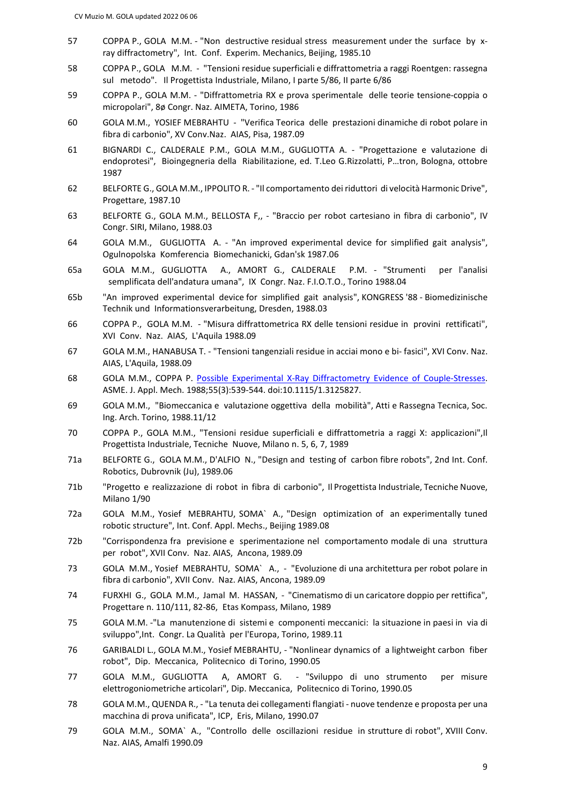- 57 COPPA P., GOLA M.M. "Non destructive residual stress measurement under the surface by xray diffractometry", Int. Conf. Experim. Mechanics, Beijing, 1985.10
- 58 COPPA P., GOLA M.M. "Tensioni residue superficiali e diffrattometria a raggi Roentgen: rassegna sul metodo". Il Progettista Industriale, Milano, I parte 5/86, II parte 6/86
- 59 COPPA P., GOLA M.M. "Diffrattometria RX e prova sperimentale delle teorie tensione-coppia o micropolari", 8ø Congr. Naz. AIMETA, Torino, 1986
- 60 GOLA M.M., YOSIEF MEBRAHTU "Verifica Teorica delle prestazioni dinamiche di robot polare in fibra di carbonio", XV Conv.Naz. AIAS, Pisa, 1987.09
- 61 BIGNARDI C., CALDERALE P.M., GOLA M.M., GUGLIOTTA A. "Progettazione e valutazione di endoprotesi", Bioingegneria della Riabilitazione, ed. T.Leo G.Rizzolatti, P…tron, Bologna, ottobre 1987
- 62 BELFORTE G., GOLA M.M., IPPOLITO R. "Il comportamento dei riduttori di velocità Harmonic Drive", Progettare, 1987.10
- 63 BELFORTE G., GOLA M.M., BELLOSTA F,, "Braccio per robot cartesiano in fibra di carbonio", IV Congr. SIRI, Milano, 1988.03
- 64 GOLA M.M., GUGLIOTTA A. "An improved experimental device for simplified gait analysis", Ogulnopolska Komferencia Biomechanicki, Gdan'sk 1987.06
- 65a GOLA M.M., GUGLIOTTA A., AMORT G., CALDERALE P.M. "Strumenti per l'analisi semplificata dell'andatura umana", IX Congr. Naz. F.I.O.T.O., Torino 1988.04
- 65b "An improved experimental device for simplified gait analysis", KONGRESS '88 Biomedizinische Technik und Informationsverarbeitung, Dresden, 1988.03
- 66 COPPA P., GOLA M.M. "Misura diffrattometrica RX delle tensioni residue in provini rettificati", XVI Conv. Naz. AIAS, L'Aquila 1988.09
- 67 GOLA M.M., HANABUSA T. "Tensioni tangenziali residue in acciai mono e bi- fasici", XVI Conv. Naz. AIAS, L'Aquila, 1988.09
- 68 GOLA M.M., COPPA P. Possible Experimental X-Ray Diffractometry Evidence of Couple-Stresses. ASME. J. Appl. Mech. 1988;55(3):539-544. doi:10.1115/1.3125827.
- 69 GOLA M.M., "Biomeccanica e valutazione oggettiva della mobilità", Atti e Rassegna Tecnica, Soc. Ing. Arch. Torino, 1988.11/12
- 70 COPPA P., GOLA M.M., "Tensioni residue superficiali e diffrattometria a raggi X: applicazioni",Il Progettista Industriale, Tecniche Nuove, Milano n. 5, 6, 7, 1989
- 71a BELFORTE G., GOLA M.M., D'ALFIO N., "Design and testing of carbon fibre robots", 2nd Int. Conf. Robotics, Dubrovnik (Ju), 1989.06
- 71b "Progetto e realizzazione di robot in fibra di carbonio", Il Progettista Industriale, Tecniche Nuove, Milano 1/90
- 72a GOLA M.M., Yosief MEBRAHTU, SOMA` A., "Design optimization of an experimentally tuned robotic structure", Int. Conf. Appl. Mechs., Beijing 1989.08
- 72b "Corrispondenza fra previsione e sperimentazione nel comportamento modale di una struttura per robot", XVII Conv. Naz. AIAS, Ancona, 1989.09
- 73 GOLA M.M., Yosief MEBRAHTU, SOMA` A., "Evoluzione di una architettura per robot polare in fibra di carbonio", XVII Conv. Naz. AIAS, Ancona, 1989.09
- 74 FURXHI G., GOLA M.M., Jamal M. HASSAN, "Cinematismo di un caricatore doppio per rettifica", Progettare n. 110/111, 82-86, Etas Kompass, Milano, 1989
- 75 GOLA M.M. -"La manutenzione di sistemi e componenti meccanici: la situazione in paesi in via di sviluppo",Int. Congr. La Qualità per l'Europa, Torino, 1989.11
- 76 GARIBALDI L., GOLA M.M., Yosief MEBRAHTU, "Nonlinear dynamics of a lightweight carbon fiber robot", Dip. Meccanica, Politecnico di Torino, 1990.05
- 77 GOLA M.M., GUGLIOTTA A, AMORT G. "Sviluppo di uno strumento per misure elettrogoniometriche articolari", Dip. Meccanica, Politecnico di Torino, 1990.05
- 78 GOLA M.M., QUENDA R., "La tenuta dei collegamenti flangiati nuove tendenze e proposta per una macchina di prova unificata", ICP, Eris, Milano, 1990.07
- 79 GOLA M.M., SOMA` A., "Controllo delle oscillazioni residue in strutture di robot", XVIII Conv. Naz. AIAS, Amalfi 1990.09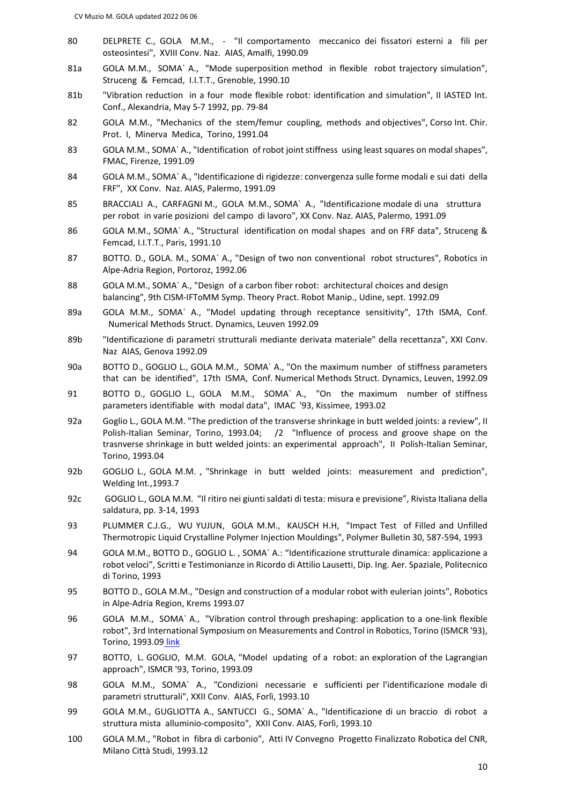- 80 DELPRETE C., GOLA M.M., "Il comportamento meccanico dei fissatori esterni a fili per osteosintesi", XVIII Conv. Naz. AIAS, Amalfi, 1990.09
- 81a GOLA M.M., SOMA` A., "Mode superposition method in flexible robot trajectory simulation", Struceng & Femcad, I.I.T.T., Grenoble, 1990.10
- 81b "Vibration reduction in a four mode flexible robot: identification and simulation", II IASTED Int. Conf., Alexandria, May 5-7 1992, pp. 79-84
- 82 GOLA M.M., "Mechanics of the stem/femur coupling, methods and objectives", Corso Int. Chir. Prot. I, Minerva Medica, Torino, 1991.04
- 83 GOLA M.M., SOMA` A., "Identification of robot joint stiffness using least squares on modal shapes", FMAC, Firenze, 1991.09
- 84 GOLA M.M., SOMA` A., "Identificazione di rigidezze: convergenza sulle forme modali e sui dati della FRF", XX Conv. Naz. AIAS, Palermo, 1991.09
- 85 BRACCIALI A., CARFAGNI M., GOLA M.M., SOMA` A., "Identificazione modale di una struttura per robot in varie posizioni del campo di lavoro", XX Conv. Naz. AIAS, Palermo, 1991.09
- 86 GOLA M.M., SOMA` A., "Structural identification on modal shapes and on FRF data", Struceng & Femcad, I.I.T.T., Paris, 1991.10
- 87 BOTTO. D., GOLA. M., SOMA` A., "Design of two non conventional robot structures", Robotics in Alpe-Adria Region, Portoroz, 1992.06
- 88 GOLA M.M., SOMA` A., "Design of a carbon fiber robot: architectural choices and design balancing", 9th CISM-IFToMM Symp. Theory Pract. Robot Manip., Udine, sept. 1992.09
- 89a GOLA M.M., SOMA` A., "Model updating through receptance sensitivity", 17th ISMA, Conf. Numerical Methods Struct. Dynamics, Leuven 1992.09
- 89b "Identificazione di parametri strutturali mediante derivata materiale" della recettanza", XXI Conv. Naz AIAS, Genova 1992.09
- 90a BOTTO D., GOGLIO L., GOLA M.M., SOMA` A., "On the maximum number of stiffness parameters that can be identified", 17th ISMA, Conf. Numerical Methods Struct. Dynamics, Leuven, 1992.09
- 91 BOTTO D., GOGLIO L., GOLA M.M., SOMA` A., "On the maximum number of stiffness parameters identifiable with modal data", IMAC '93, Kissimee, 1993.02
- 92a Goglio L., GOLA M.M. "The prediction of the transverse shrinkage in butt welded joints: a review", II Polish-Italian Seminar, Torino, 1993.04; /2 "Influence of process and groove shape on the trasnverse shrinkage in butt welded joints: an experimental approach", II Polish-Italian Seminar, Torino, 1993.04
- 92b GOGLIO L., GOLA M.M. , "Shrinkage in butt welded joints: measurement and prediction", Welding Int.,1993.7
- 92c GOGLIO L., GOLA M.M. "Il ritiro nei giunti saldati di testa: misura e previsione", Rivista Italiana della saldatura, pp. 3-14, 1993
- 93 PLUMMER C.J.G., WU YUJUN, GOLA M.M., KAUSCH H.H, "Impact Test of Filled and Unfilled Thermotropic Liquid Crystalline Polymer Injection Mouldings", Polymer Bulletin 30, 587-594, 1993
- 94 GOLA M.M., BOTTO D., GOGLIO L. , SOMA` A.: "Identificazione strutturale dinamica: applicazione a robot veloci", Scritti e Testimonianze in Ricordo di Attilio Lausetti, Dip. Ing. Aer. Spaziale, Politecnico di Torino, 1993
- 95 BOTTO D., GOLA M.M., "Design and construction of a modular robot with eulerian joints", Robotics in Alpe-Adria Region, Krems 1993.07
- 96 GOLA M.M., SOMA` A., "Vibration control through preshaping: application to a one-link flexible robot", 3rd International Symposium on Measurements and Control in Robotics, Torino (ISMCR '93), Torino, 1993.09 link
- 97 BOTTO, L. GOGLIO, M.M. GOLA, "Model updating of a robot: an exploration of the Lagrangian approach", ISMCR '93, Torino, 1993.09
- 98 GOLA M.M., SOMA` A., "Condizioni necessarie e sufficienti per l'identificazione modale di parametri strutturali", XXII Conv. AIAS, Forlì, 1993.10
- 99 GOLA M.M., GUGLIOTTA A., SANTUCCI G., SOMA` A., "Identificazione di un braccio di robot a struttura mista alluminio-composito", XXII Conv. AIAS, Forlì, 1993.10
- 100 GOLA M.M., "Robot in fibra di carbonio", Atti IV Convegno Progetto Finalizzato Robotica del CNR, Milano Città Studi, 1993.12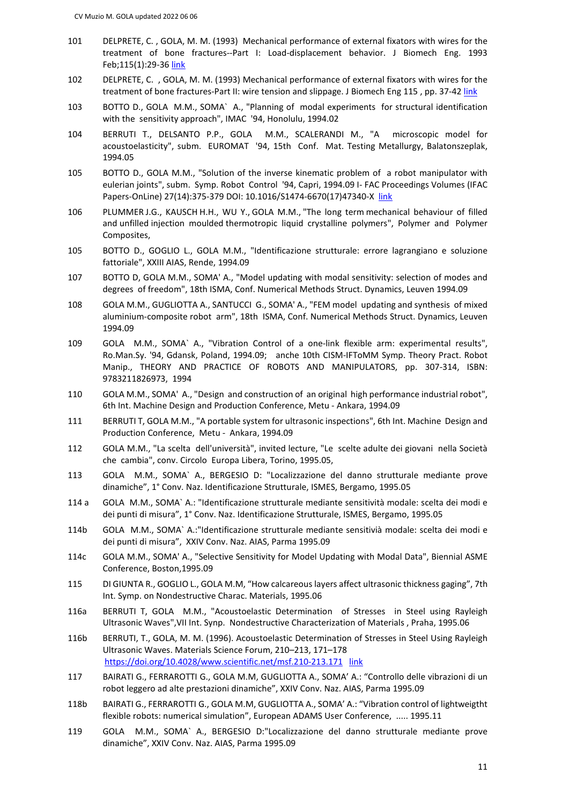- 101 DELPRETE, C. , GOLA, M. M. (1993) Mechanical performance of external fixators with wires for the treatment of bone fractures--Part I: Load-displacement behavior. J Biomech Eng. 1993 Feb;115(1):29-36 link
- 102 DELPRETE, C. , GOLA, M. M. (1993) Mechanical performance of external fixators with wires for the treatment of bone fractures-Part II: wire tension and slippage. J Biomech Eng 115 , pp. 37-42 link
- 103 BOTTO D., GOLA M.M., SOMA` A., "Planning of modal experiments for structural identification with the sensitivity approach", IMAC '94, Honolulu, 1994.02
- 104 BERRUTI T., DELSANTO P.P., GOLA M.M., SCALERANDI M., "A microscopic model for acoustoelasticity", subm. EUROMAT '94, 15th Conf. Mat. Testing Metallurgy, Balatonszeplak, 1994.05
- 105 BOTTO D., GOLA M.M., "Solution of the inverse kinematic problem of a robot manipulator with eulerian joints", subm. Symp. Robot Control '94, Capri, 1994.09 I- FAC Proceedings Volumes (IFAC Papers-OnLine) 27(14):375-379 DOI: 10.1016/S1474-6670(17)47340-X link
- 106 PLUMMER J.G., KAUSCH H.H., WU Y., GOLA M.M., "The long term mechanical behaviour of filled and unfilled injection moulded thermotropic liquid crystalline polymers", Polymer and Polymer Composites,
- 105 BOTTO D., GOGLIO L., GOLA M.M., "Identificazione strutturale: errore lagrangiano e soluzione fattoriale", XXIII AIAS, Rende, 1994.09
- 107 BOTTO D, GOLA M.M., SOMA' A., "Model updating with modal sensitivity: selection of modes and degrees of freedom", 18th ISMA, Conf. Numerical Methods Struct. Dynamics, Leuven 1994.09
- 108 GOLA M.M., GUGLIOTTA A., SANTUCCI G., SOMA' A., "FEM model updating and synthesis of mixed aluminium-composite robot arm", 18th ISMA, Conf. Numerical Methods Struct. Dynamics, Leuven 1994.09
- 109 GOLA M.M., SOMA` A., "Vibration Control of a one-link flexible arm: experimental results", Ro.Man.Sy. '94, Gdansk, Poland, 1994.09; anche 10th CISM-IFToMM Symp. Theory Pract. Robot Manip., THEORY AND PRACTICE OF ROBOTS AND MANIPULATORS, pp. 307-314, ISBN: 9783211826973, 1994
- 110 GOLA M.M., SOMA' A., "Design and construction of an original high performance industrial robot", 6th Int. Machine Design and Production Conference, Metu - Ankara, 1994.09
- 111 BERRUTI T, GOLA M.M., "A portable system for ultrasonic inspections", 6th Int. Machine Design and Production Conference, Metu - Ankara, 1994.09
- 112 GOLA M.M., "La scelta dell'università", invited lecture, "Le scelte adulte dei giovani nella Società che cambia", conv. Circolo Europa Libera, Torino, 1995.05,
- 113 GOLA M.M., SOMA` A., BERGESIO D: "Localizzazione del danno strutturale mediante prove dinamiche", 1° Conv. Naz. Identificazione Strutturale, ISMES, Bergamo, 1995.05
- 114 a GOLA M.M., SOMA` A.: "Identificazione strutturale mediante sensitività modale: scelta dei modi e dei punti di misura", 1° Conv. Naz. Identificazione Strutturale, ISMES, Bergamo, 1995.05
- 114b GOLA M.M., SOMA` A.:"Identificazione strutturale mediante sensitivià modale: scelta dei modi e dei punti di misura", XXIV Conv. Naz. AIAS, Parma 1995.09
- 114c GOLA M.M., SOMA' A., "Selective Sensitivity for Model Updating with Modal Data", Biennial ASME Conference, Boston,1995.09
- 115 DI GIUNTA R., GOGLIO L., GOLA M.M, "How calcareous layers affect ultrasonic thickness gaging", 7th Int. Symp. on Nondestructive Charac. Materials, 1995.06
- 116a BERRUTI T, GOLA M.M., "Acoustoelastic Determination of Stresses in Steel using Rayleigh Ultrasonic Waves",VII Int. Synp. Nondestructive Characterization of Materials , Praha, 1995.06
- 116b BERRUTI, T., GOLA, M. M. (1996). Acoustoelastic Determination of Stresses in Steel Using Rayleigh Ultrasonic Waves. Materials Science Forum, 210–213, 171–178 <https://doi.org/10.4028/www.scientific.net/msf.210-213.171> link
- 117 BAIRATI G., FERRAROTTI G., GOLA M.M, GUGLIOTTA A., SOMA' A.: "Controllo delle vibrazioni di un robot leggero ad alte prestazioni dinamiche", XXIV Conv. Naz. AIAS, Parma 1995.09
- 118b BAIRATI G., FERRAROTTI G., GOLA M.M, GUGLIOTTA A., SOMA' A.: "Vibration control of lightweigtht flexible robots: numerical simulation", European ADAMS User Conference, ..... 1995.11
- 119 GOLA M.M., SOMA` A., BERGESIO D:"Localizzazione del danno strutturale mediante prove dinamiche", XXIV Conv. Naz. AIAS, Parma 1995.09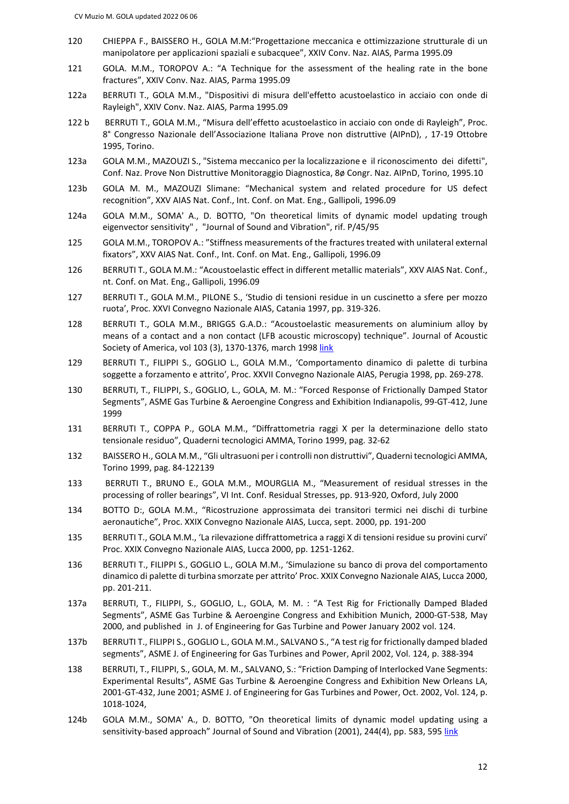- 120 CHIEPPA F., BAISSERO H., GOLA M.M:"Progettazione meccanica e ottimizzazione strutturale di un manipolatore per applicazioni spaziali e subacquee", XXIV Conv. Naz. AIAS, Parma 1995.09
- 121 GOLA. M.M., TOROPOV A.: "A Technique for the assessment of the healing rate in the bone fractures", XXIV Conv. Naz. AIAS, Parma 1995.09
- 122a BERRUTI T., GOLA M.M., "Dispositivi di misura dell'effetto acustoelastico in acciaio con onde di Rayleigh", XXIV Conv. Naz. AIAS, Parma 1995.09
- 122 b BERRUTI T., GOLA M.M., "Misura dell'effetto acustoelastico in acciaio con onde di Rayleigh", Proc. 8° Congresso Nazionale dell'Associazione Italiana Prove non distruttive (AIPnD), , 17-19 Ottobre 1995, Torino.
- 123a GOLA M.M., MAZOUZI S., "Sistema meccanico per la localizzazione e il riconoscimento dei difetti", Conf. Naz. Prove Non Distruttive Monitoraggio Diagnostica, 8ø Congr. Naz. AIPnD, Torino, 1995.10
- 123b GOLA M. M., MAZOUZI Slimane: "Mechanical system and related procedure for US defect recognition", XXV AIAS Nat. Conf., Int. Conf. on Mat. Eng., Gallipoli, 1996.09
- 124a GOLA M.M., SOMA' A., D. BOTTO, "On theoretical limits of dynamic model updating trough eigenvector sensitivity" , "Journal of Sound and Vibration", rif. P/45/95
- 125 GOLA M.M., TOROPOV A.: "Stiffness measurements of the fractures treated with unilateral external fixators", XXV AIAS Nat. Conf., Int. Conf. on Mat. Eng., Gallipoli, 1996.09
- 126 BERRUTI T., GOLA M.M.: "Acoustoelastic effect in different metallic materials", XXV AIAS Nat. Conf., nt. Conf. on Mat. Eng., Gallipoli, 1996.09
- 127 BERRUTI T., GOLA M.M., PILONE S., 'Studio di tensioni residue in un cuscinetto a sfere per mozzo ruota', Proc. XXVI Convegno Nazionale AIAS, Catania 1997, pp. 319-326.
- 128 BERRUTI T., GOLA M.M., BRIGGS G.A.D.: "Acoustoelastic measurements on aluminium alloy by means of a contact and a non contact (LFB acoustic microscopy) technique". Journal of Acoustic Society of America, vol 103 (3), 1370-1376, march 1998 link
- 129 BERRUTI T., FILIPPI S., GOGLIO L., GOLA M.M., 'Comportamento dinamico di palette di turbina soggette a forzamento e attrito', Proc. XXVII Convegno Nazionale AIAS, Perugia 1998, pp. 269-278.
- 130 BERRUTI, T., FILIPPI, S., GOGLIO, L., GOLA, M. M.: "Forced Response of Frictionally Damped Stator Segments", ASME Gas Turbine & Aeroengine Congress and Exhibition Indianapolis, 99-GT-412, June 1999
- 131 BERRUTI T., COPPA P., GOLA M.M., "Diffrattometria raggi X per la determinazione dello stato tensionale residuo", Quaderni tecnologici AMMA, Torino 1999, pag. 32-62
- 132 BAISSERO H., GOLA M.M., "Gli ultrasuoni per i controlli non distruttivi", Quaderni tecnologici AMMA, Torino 1999, pag. 84-122139
- 133 BERRUTI T., BRUNO E., GOLA M.M., MOURGLIA M., "Measurement of residual stresses in the processing of roller bearings", VI Int. Conf. Residual Stresses, pp. 913-920, Oxford, July 2000
- 134 BOTTO D:, GOLA M.M., "Ricostruzione approssimata dei transitori termici nei dischi di turbine aeronautiche", Proc. XXIX Convegno Nazionale AIAS, Lucca, sept. 2000, pp. 191-200
- 135 BERRUTI T., GOLA M.M., 'La rilevazione diffrattometrica a raggi X di tensioni residue su provini curvi' Proc. XXIX Convegno Nazionale AIAS, Lucca 2000, pp. 1251-1262.
- 136 BERRUTI T., FILIPPI S., GOGLIO L., GOLA M.M., 'Simulazione su banco di prova del comportamento dinamico di palette di turbina smorzate per attrito' Proc. XXIX Convegno Nazionale AIAS, Lucca 2000, pp. 201-211.
- 137a BERRUTI, T., FILIPPI, S., GOGLIO, L., GOLA, M. M. : "A Test Rig for Frictionally Damped Bladed Segments", ASME Gas Turbine & Aeroengine Congress and Exhibition Munich, 2000-GT-538, May 2000, and published in J. of Engineering for Gas Turbine and Power January 2002 vol. 124.
- 137b BERRUTI T., FILIPPI S., GOGLIO L., GOLA M.M., SALVANO S., "A test rig for frictionally damped bladed segments", ASME J. of Engineering for Gas Turbines and Power, April 2002, Vol. 124, p. 388-394
- 138 BERRUTI, T., FILIPPI, S., GOLA, M. M., SALVANO, S.: "Friction Damping of Interlocked Vane Segments: Experimental Results", ASME Gas Turbine & Aeroengine Congress and Exhibition New Orleans LA, 2001-GT-432, June 2001; ASME J. of Engineering for Gas Turbines and Power, Oct. 2002, Vol. 124, p. 1018-1024,
- 124b GOLA M.M., SOMA' A., D. BOTTO, "On theoretical limits of dynamic model updating using a sensitivity-based approach" Journal of Sound and Vibration (2001), 244(4), pp. 583, 595 link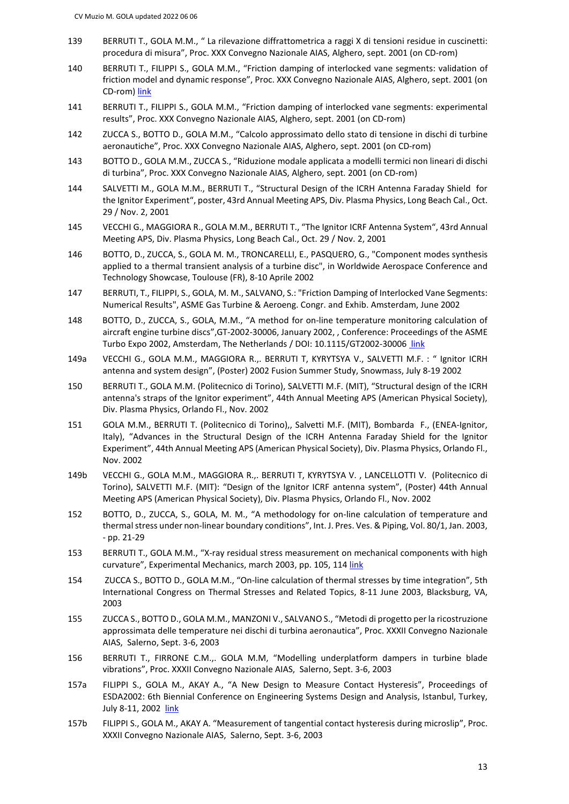- 139 BERRUTI T., GOLA M.M., " La rilevazione diffrattometrica a raggi X di tensioni residue in cuscinetti: procedura di misura", Proc. XXX Convegno Nazionale AIAS, Alghero, sept. 2001 (on CD-rom)
- 140 BERRUTI T., FILIPPI S., GOLA M.M., "Friction damping of interlocked vane segments: validation of friction model and dynamic response", Proc. XXX Convegno Nazionale AIAS, Alghero, sept. 2001 (on CD-rom) link
- 141 BERRUTI T., FILIPPI S., GOLA M.M., "Friction damping of interlocked vane segments: experimental results", Proc. XXX Convegno Nazionale AIAS, Alghero, sept. 2001 (on CD-rom)
- 142 ZUCCA S., BOTTO D., GOLA M.M., "Calcolo approssimato dello stato di tensione in dischi di turbine aeronautiche", Proc. XXX Convegno Nazionale AIAS, Alghero, sept. 2001 (on CD-rom)
- 143 BOTTO D., GOLA M.M., ZUCCA S., "Riduzione modale applicata a modelli termici non lineari di dischi di turbina", Proc. XXX Convegno Nazionale AIAS, Alghero, sept. 2001 (on CD-rom)
- 144 SALVETTI M., GOLA M.M., BERRUTI T., "Structural Design of the ICRH Antenna Faraday Shield for the Ignitor Experiment", poster, 43rd Annual Meeting APS, Div. Plasma Physics, Long Beach Cal., Oct. 29 / Nov. 2, 2001
- 145 VECCHI G., MAGGIORA R., GOLA M.M., BERRUTI T., "The Ignitor ICRF Antenna System", 43rd Annual Meeting APS, Div. Plasma Physics, Long Beach Cal., Oct. 29 / Nov. 2, 2001
- 146 BOTTO, D., ZUCCA, S., GOLA M. M., TRONCARELLI, E., PASQUERO, G., "Component modes synthesis applied to a thermal transient analysis of a turbine disc", in Worldwide Aerospace Conference and Technology Showcase, Toulouse (FR), 8-10 Aprile 2002
- 147 BERRUTI, T., FILIPPI, S., GOLA, M. M., SALVANO, S.: "Friction Damping of Interlocked Vane Segments: Numerical Results", ASME Gas Turbine & Aeroeng. Congr. and Exhib. Amsterdam, June 2002
- 148 BOTTO, D., ZUCCA, S., GOLA, M.M., "A method for on-line temperature monitoring calculation of aircraft engine turbine discs",GT-2002-30006, January 2002, , Conference: Proceedings of the ASME Turbo Expo 2002, Amsterdam, The Netherlands / DOI: 10.1115/GT2002-30006 link
- 149a VECCHI G., GOLA M.M., MAGGIORA R.,. BERRUTI T, KYRYTSYA V., SALVETTI M.F. : " Ignitor ICRH antenna and system design", (Poster) 2002 Fusion Summer Study, Snowmass, July 8-19 2002
- 150 BERRUTI T., GOLA M.M. (Politecnico di Torino), SALVETTI M.F. (MIT), "Structural design of the ICRH antenna's straps of the Ignitor experiment", 44th Annual Meeting APS (American Physical Society), Div. Plasma Physics, Orlando Fl., Nov. 2002
- 151 GOLA M.M., BERRUTI T. (Politecnico di Torino),, Salvetti M.F. (MIT), Bombarda F., (ENEA-Ignitor, Italy), "Advances in the Structural Design of the ICRH Antenna Faraday Shield for the Ignitor Experiment", 44th Annual Meeting APS (American Physical Society), Div. Plasma Physics, Orlando Fl., Nov. 2002
- 149b VECCHI G., GOLA M.M., MAGGIORA R.,. BERRUTI T, KYRYTSYA V. , LANCELLOTTI V. (Politecnico di Torino), SALVETTI M.F. (MIT): "Design of the Ignitor ICRF antenna system", (Poster) 44th Annual Meeting APS (American Physical Society), Div. Plasma Physics, Orlando Fl., Nov. 2002
- 152 BOTTO, D., ZUCCA, S., GOLA, M. M., "A methodology for on-line calculation of temperature and thermal stress under non-linear boundary conditions", Int. J. Pres. Ves. & Piping, Vol. 80/1, Jan. 2003, - pp. 21-29
- 153 BERRUTI T., GOLA M.M., "X-ray residual stress measurement on mechanical components with high curvature", Experimental Mechanics, march 2003, pp. 105, 114 link
- 154 ZUCCA S., BOTTO D., GOLA M.M., "On-line calculation of thermal stresses by time integration", 5th International Congress on Thermal Stresses and Related Topics, 8-11 June 2003, Blacksburg, VA, 2003
- 155 ZUCCA S., BOTTO D., GOLA M.M., MANZONI V., SALVANO S., "Metodi di progetto per la ricostruzione approssimata delle temperature nei dischi di turbina aeronautica", Proc. XXXII Convegno Nazionale AIAS, Salerno, Sept. 3-6, 2003
- 156 BERRUTI T., FIRRONE C.M.,. GOLA M.M, "Modelling underplatform dampers in turbine blade vibrations", Proc. XXXII Convegno Nazionale AIAS, Salerno, Sept. 3-6, 2003
- 157a FILIPPI S., GOLA M., AKAY A., "A New Design to Measure Contact Hysteresis", Proceedings of ESDA2002: 6th Biennial Conference on Engineering Systems Design and Analysis, Istanbul, Turkey, July 8-11, 2002 link
- 157b FILIPPI S., GOLA M., AKAY A. "Measurement of tangential contact hysteresis during microslip", Proc. XXXII Convegno Nazionale AIAS, Salerno, Sept. 3-6, 2003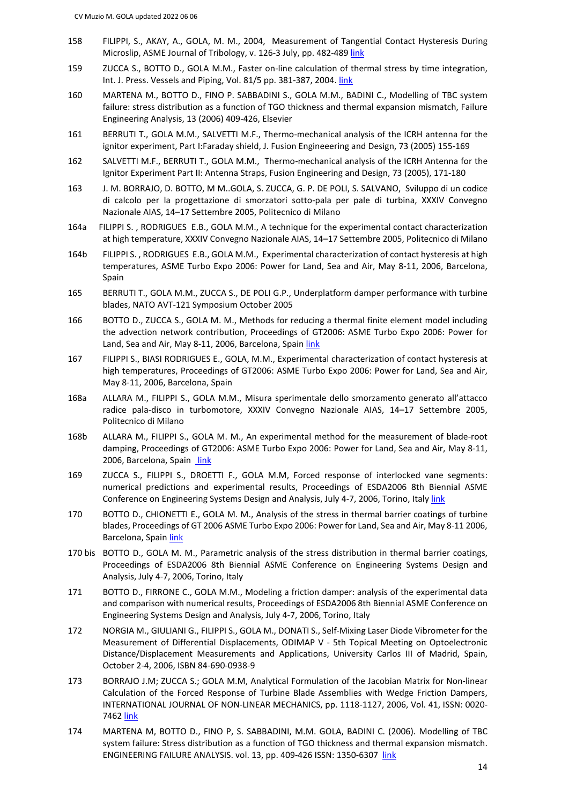- 158 FILIPPI, S., AKAY, A., GOLA, M. M., 2004, Measurement of Tangential Contact Hysteresis During Microslip, ASME Journal of Tribology, v. 126-3 July, pp. 482-489 link
- 159 ZUCCA S., BOTTO D., GOLA M.M., Faster on-line calculation of thermal stress by time integration, Int. J. Press. Vessels and Piping, Vol. 81/5 pp. 381-387, 2004. link
- 160 MARTENA M., BOTTO D., FINO P. SABBADINI S., GOLA M.M., BADINI C., Modelling of TBC system failure: stress distribution as a function of TGO thickness and thermal expansion mismatch, Failure Engineering Analysis, 13 (2006) 409-426, Elsevier
- 161 BERRUTI T., GOLA M.M., SALVETTI M.F., Thermo-mechanical analysis of the ICRH antenna for the ignitor experiment, Part I:Faraday shield, J. Fusion Engineeering and Design, 73 (2005) 155-169
- 162 SALVETTI M.F., BERRUTI T., GOLA M.M., Thermo-mechanical analysis of the ICRH Antenna for the Ignitor Experiment Part II: Antenna Straps, Fusion Engineering and Design, 73 (2005), 171-180
- 163 J. M. BORRAJO, D. BOTTO, M M..GOLA, S. ZUCCA, G. P. DE POLI, S. SALVANO, Sviluppo di un codice di calcolo per la progettazione di smorzatori sotto-pala per pale di turbina, XXXIV Convegno Nazionale AIAS, 14–17 Settembre 2005, Politecnico di Milano
- 164a FILIPPI S. , RODRIGUES E.B., GOLA M.M., A technique for the experimental contact characterization at high temperature, XXXIV Convegno Nazionale AIAS, 14–17 Settembre 2005, Politecnico di Milano
- 164b FILIPPI S. , RODRIGUES E.B., GOLA M.M., Experimental characterization of contact hysteresis at high temperatures, ASME Turbo Expo 2006: Power for Land, Sea and Air, May 8-11, 2006, Barcelona, Spain
- 165 BERRUTI T., GOLA M.M., ZUCCA S., DE POLI G.P., Underplatform damper performance with turbine blades, NATO AVT-121 Symposium October 2005
- 166 BOTTO D., ZUCCA S., GOLA M. M., Methods for reducing a thermal finite element model including the advection network contribution, Proceedings of GT2006: ASME Turbo Expo 2006: Power for Land, Sea and Air, May 8-11, 2006, Barcelona, Spain link
- 167 FILIPPI S., BIASI RODRIGUES E., GOLA, M.M., Experimental characterization of contact hysteresis at high temperatures, Proceedings of GT2006: ASME Turbo Expo 2006: Power for Land, Sea and Air, May 8-11, 2006, Barcelona, Spain
- 168a ALLARA M., FILIPPI S., GOLA M.M., Misura sperimentale dello smorzamento generato all'attacco radice pala-disco in turbomotore, XXXIV Convegno Nazionale AIAS, 14–17 Settembre 2005, Politecnico di Milano
- 168b ALLARA M., FILIPPI S., GOLA M. M., An experimental method for the measurement of blade-root damping, Proceedings of GT2006: ASME Turbo Expo 2006: Power for Land, Sea and Air, May 8-11, 2006, Barcelona, Spain link
- 169 ZUCCA S., FILIPPI S., DROETTI F., GOLA M.M, Forced response of interlocked vane segments: numerical predictions and experimental results, Proceedings of ESDA2006 8th Biennial ASME Conference on Engineering Systems Design and Analysis, July 4-7, 2006, Torino, Italy link
- 170 BOTTO D., CHIONETTI E., GOLA M. M., Analysis of the stress in thermal barrier coatings of turbine blades, Proceedings of GT 2006 ASME Turbo Expo 2006: Power for Land, Sea and Air, May 8-11 2006, Barcelona, Spain link
- 170 bis BOTTO D., GOLA M. M., Parametric analysis of the stress distribution in thermal barrier coatings, Proceedings of ESDA2006 8th Biennial ASME Conference on Engineering Systems Design and Analysis, July 4-7, 2006, Torino, Italy
- 171 BOTTO D., FIRRONE C., GOLA M.M., Modeling a friction damper: analysis of the experimental data and comparison with numerical results, Proceedings of ESDA2006 8th Biennial ASME Conference on Engineering Systems Design and Analysis, July 4-7, 2006, Torino, Italy
- 172 NORGIA M., GIULIANI G., FILIPPI S., GOLA M., DONATI S., Self-Mixing Laser Diode Vibrometer for the Measurement of Differential Displacements, ODIMAP V - 5th Topical Meeting on Optoelectronic Distance/Displacement Measurements and Applications, University Carlos III of Madrid, Spain, October 2-4, 2006, ISBN 84-690-0938-9
- 173 BORRAJO J.M; ZUCCA S.; GOLA M.M, Analytical Formulation of the Jacobian Matrix for Non-linear Calculation of the Forced Response of Turbine Blade Assemblies with Wedge Friction Dampers, INTERNATIONAL JOURNAL OF NON-LINEAR MECHANICS, pp. 1118-1127, 2006, Vol. 41, ISSN: 0020- 7462 link
- 174 MARTENA M, BOTTO D., FINO P, S. SABBADINI, M.M. GOLA, BADINI C. (2006). Modelling of TBC system failure: Stress distribution as a function of TGO thickness and thermal expansion mismatch. ENGINEERING FAILURE ANALYSIS. vol. 13, pp. 409-426 ISSN: 1350-6307 link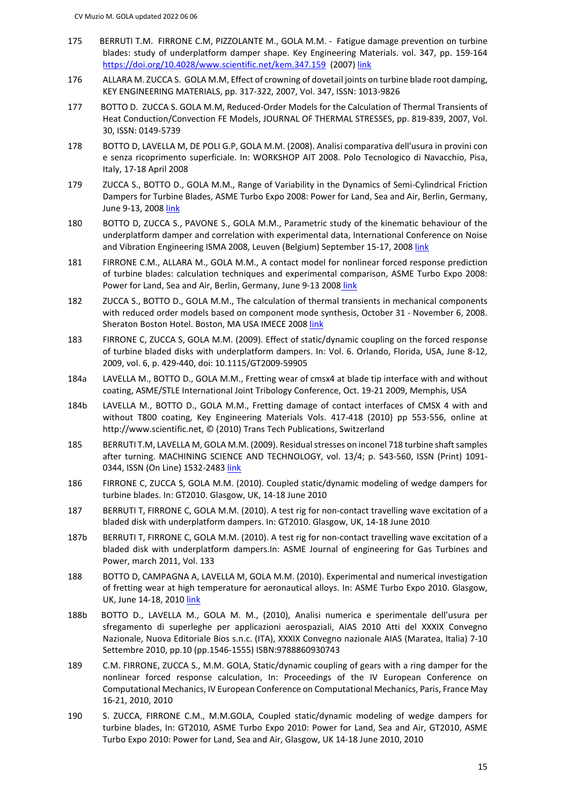- 175 BERRUTI T.M. FIRRONE C.M, PIZZOLANTE M., GOLA M.M. Fatigue damage prevention on turbine blades: study of underplatform damper shape. Key Engineering Materials. vol. 347, pp. 159-164 <https://doi.org/10.4028/www.scientific.net/kem.347.159> (2007) link
- 176 ALLARA M. ZUCCA S. GOLA M.M, Effect of crowning of dovetail joints on turbine blade root damping, KEY ENGINEERING MATERIALS, pp. 317-322, 2007, Vol. 347, ISSN: 1013-9826
- 177 BOTTO D. ZUCCA S. GOLA M.M, Reduced-Order Models for the Calculation of Thermal Transients of Heat Conduction/Convection FE Models, JOURNAL OF THERMAL STRESSES, pp. 819-839, 2007, Vol. 30, ISSN: 0149-5739
- 178 BOTTO D, LAVELLA M, DE POLI G.P, GOLA M.M. (2008). Analisi comparativa dell'usura in provini con e senza ricoprimento superficiale. In: WORKSHOP AIT 2008. Polo Tecnologico di Navacchio, Pisa, Italy, 17-18 April 2008
- 179 ZUCCA S., BOTTO D., GOLA M.M., Range of Variability in the Dynamics of Semi-Cylindrical Friction Dampers for Turbine Blades, ASME Turbo Expo 2008: Power for Land, Sea and Air, Berlin, Germany, June 9-13, 2008 link
- 180 BOTTO D, ZUCCA S., PAVONE S., GOLA M.M., Parametric study of the kinematic behaviour of the underplatform damper and correlation with experimental data, International Conference on Noise and Vibration Engineering ISMA 2008, Leuven (Belgium) September 15-17, 2008 link
- 181 FIRRONE C.M., ALLARA M., GOLA M.M., A contact model for nonlinear forced response prediction of turbine blades: calculation techniques and experimental comparison, ASME Turbo Expo 2008: Power for Land, Sea and Air, Berlin, Germany, June 9-13 2008 link
- 182 ZUCCA S., BOTTO D., GOLA M.M., The calculation of thermal transients in mechanical components with reduced order models based on component mode synthesis, October 31 - November 6, 2008. Sheraton Boston Hotel. Boston, MA USA IMECE 2008 link
- 183 FIRRONE C, ZUCCA S, GOLA M.M. (2009). Effect of static/dynamic coupling on the forced response of turbine bladed disks with underplatform dampers. In: Vol. 6. Orlando, Florida, USA, June 8-12, 2009, vol. 6, p. 429-440, doi: 10.1115/GT2009-59905
- 184a LAVELLA M., BOTTO D., GOLA M.M., Fretting wear of cmsx4 at blade tip interface with and without coating, ASME/STLE International Joint Tribology Conference, Oct. 19-21 2009, Memphis, USA
- 184b LAVELLA M., BOTTO D., GOLA M.M., Fretting damage of contact interfaces of CMSX 4 with and without T800 coating, Key Engineering Materials Vols. 417-418 (2010) pp 553-556, online at [http://www.scientific.net,](http://www.scientific.net/) © (2010) Trans Tech Publications, Switzerland
- 185 BERRUTI T.M, LAVELLA M, GOLA M.M. (2009). Residual stresses on inconel 718 turbine shaft samples after turning. MACHINING SCIENCE AND TECHNOLOGY, vol. 13/4; p. 543-560, ISSN (Print) 1091- 0344, ISSN (On Line) 1532-2483 link
- 186 FIRRONE C, ZUCCA S, GOLA M.M. (2010). Coupled static/dynamic modeling of wedge dampers for turbine blades. In: GT2010. Glasgow, UK, 14-18 June 2010
- 187 BERRUTI T, FIRRONE C, GOLA M.M. (2010). A test rig for non-contact travelling wave excitation of a bladed disk with underplatform dampers. In: GT2010. Glasgow, UK, 14-18 June 2010
- 187b BERRUTI T, FIRRONE C, GOLA M.M. (2010). A test rig for non-contact travelling wave excitation of a bladed disk with underplatform dampers.In: ASME Journal of engineering for Gas Turbines and Power, march 2011, Vol. 133
- 188 BOTTO D, CAMPAGNA A, LAVELLA M, GOLA M.M. (2010). Experimental and numerical investigation of fretting wear at high temperature for aeronautical alloys. In: ASME Turbo Expo 2010. Glasgow, UK, June 14-18, 2010 link
- 188b BOTTO D., LAVELLA M., GOLA M. M., (2010), Analisi numerica e sperimentale dell'usura per sfregamento di superleghe per applicazioni aerospaziali, AIAS 2010 Atti del XXXIX Convegno Nazionale, Nuova Editoriale Bios s.n.c. (ITA), XXXIX Convegno nazionale AIAS (Maratea, Italia) 7-10 Settembre 2010, pp.10 (pp.1546-1555) ISBN:9788860930743
- 189 C.M. FIRRONE, ZUCCA S., M.M. GOLA, Static/dynamic coupling of gears with a ring damper for the nonlinear forced response calculation, In: Proceedings of the IV European Conference on Computational Mechanics, IV European Conference on Computational Mechanics, Paris, France May 16-21, 2010, 2010
- 190 S. ZUCCA, FIRRONE C.M., M.M.GOLA, Coupled static/dynamic modeling of wedge dampers for turbine blades, In: GT2010, ASME Turbo Expo 2010: Power for Land, Sea and Air, GT2010, ASME Turbo Expo 2010: Power for Land, Sea and Air, Glasgow, UK 14-18 June 2010, 2010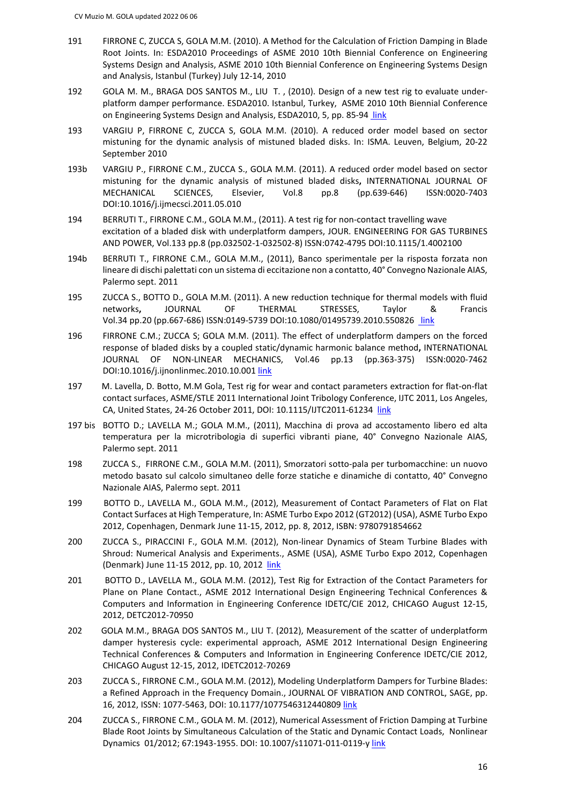- 191 FIRRONE C, ZUCCA S, GOLA M.M. (2010). A Method for the Calculation of Friction Damping in Blade Root Joints. In: ESDA2010 Proceedings of ASME 2010 10th Biennial Conference on Engineering Systems Design and Analysis, ASME 2010 10th Biennial Conference on Engineering Systems Design and Analysis, Istanbul (Turkey) July 12-14, 2010
- 192 GOLA M. M., BRAGA DOS SANTOS M., LIU T. , (2010). Design of a new test rig to evaluate underplatform damper performance. ESDA2010. Istanbul, Turkey, ASME 2010 10th Biennial Conference on Engineering Systems Design and Analysis, ESDA2010, 5, pp. 85-94 link
- 193 VARGIU P, FIRRONE C, ZUCCA S, GOLA M.M. (2010). A reduced order model based on sector mistuning for the dynamic analysis of mistuned bladed disks. In: ISMA. Leuven, Belgium, 20-22 September 2010
- 193b VARGIU P., FIRRONE C.M., ZUCCA S., GOLA M.M. (2011). [A reduced order model based on sector](http://porto.polito.it/id/eprint/2424041)  [mistuning for the dynamic analysis of mistuned bladed disks](http://porto.polito.it/id/eprint/2424041)**,** INTERNATIONAL JOURNAL OF MECHANICAL SCIENCES, Elsevier, Vol.8 pp.8 (pp.639-646) ISSN:0020-7403 DOI:10.1016/j.ijmecsci.2011.05.010
- 194 BERRUTI T., FIRRONE C.M., GOLA M.M., (2011). A test rig for non-contact travelling wave excitation of a bladed disk with underplatform dampers, JOUR. ENGINEERING FOR GAS TURBINES AND POWER, Vol.133 pp.8 (pp.032502-1-032502-8) ISSN:0742-4795 DOI:10.1115/1.4002100
- 194b BERRUTI T., FIRRONE C.M., GOLA M.M., (2011), Banco sperimentale per la risposta forzata non lineare di dischi palettati con un sistema di eccitazione non a contatto, 40° Convegno Nazionale AIAS, Palermo sept. 2011
- 195 ZUCCA S., BOTTO D., GOLA M.M. (2011). [A new reduction technique for thermal models with fluid](http://porto.polito.it/id/eprint/2377902)  [networks](http://porto.polito.it/id/eprint/2377902)**,** JOURNAL OF THERMAL STRESSES, Taylor & Francis Vol.34 pp.20 (pp.667-686) ISSN:0149-5739 DOI:10.1080/01495739.2010.550826 link
- 196 FIRRONE C.M.; ZUCCA S; GOLA M.M. (2011). [The effect of underplatform dampers on the forced](http://porto.polito.it/id/eprint/2303330)  [response of bladed disks by a coupled static/dynamic harmonic balance method](http://porto.polito.it/id/eprint/2303330)**,** INTERNATIONAL JOURNAL OF NON-LINEAR MECHANICS, Vol.46 pp.13 (pp.363-375) ISSN:0020-7462 DOI:10.1016/j.ijnonlinmec.2010.10.001 link
- 197 M. Lavella, D. Botto, M.M Gola, Test rig for wear and contact parameters extraction for flat-on-flat contact surfaces, ASME/STLE 2011 International Joint Tribology Conference, IJTC 2011, Los Angeles, CA, United States, 24-26 October 2011, DOI: 10.1115/IJTC2011-61234 link
- 197 bis BOTTO D.; LAVELLA M.; GOLA M.M., (2011), Macchina di prova ad accostamento libero ed alta temperatura per la microtribologia di superfici vibranti piane, 40° Convegno Nazionale AIAS, Palermo sept. 2011
- 198 ZUCCA S., FIRRONE C.M., GOLA M.M. (2011), Smorzatori sotto-pala per turbomacchine: un nuovo metodo basato sul calcolo simultaneo delle forze statiche e dinamiche di contatto, 40° Convegno Nazionale AIAS, Palermo sept. 2011
- 199 BOTTO D., LAVELLA M., GOLA M.M., (2012), Measurement of Contact Parameters of Flat on Flat Contact Surfaces at High Temperature, In: ASME Turbo Expo 2012 (GT2012) (USA), ASME Turbo Expo 2012, Copenhagen, Denmark June 11-15, 2012, pp. 8, 2012, ISBN: 9780791854662
- 200 ZUCCA S., PIRACCINI F., GOLA M.M. (2012), Non-linear Dynamics of Steam Turbine Blades with Shroud: Numerical Analysis and Experiments., ASME (USA), ASME Turbo Expo 2012, Copenhagen (Denmark) June 11-15 2012, pp. 10, 2012 link
- 201 BOTTO D., LAVELLA M., GOLA M.M. (2012), Test Rig for Extraction of the Contact Parameters for Plane on Plane Contact., ASME 2012 International Design Engineering Technical Conferences & Computers and Information in Engineering Conference IDETC/CIE 2012, CHICAGO August 12-15, 2012, DETC2012-70950
- 202 GOLA M.M., BRAGA DOS SANTOS M., LIU T. (2012), Measurement of the scatter of underplatform damper hysteresis cycle: experimental approach, ASME 2012 International Design Engineering Technical Conferences & Computers and Information in Engineering Conference IDETC/CIE 2012, CHICAGO August 12-15, 2012, IDETC2012-70269
- 203 ZUCCA S., FIRRONE C.M., GOLA M.M. (2012), Modeling Underplatform Dampers for Turbine Blades: a Refined Approach in the Frequency Domain., JOURNAL OF VIBRATION AND CONTROL, SAGE, pp. 16, 2012, ISSN: 1077-5463, DOI: 10.1177/1077546312440809 link
- 204 ZUCCA S., FIRRONE C.M., GOLA M. M. (2012), Numerical Assessment of Friction Damping at Turbine Blade Root Joints by Simultaneous Calculation of the Static and Dynamic Contact Loads, Nonlinear Dynamics 01/2012; 67:1943-1955. DOI: 10.1007/s11071-011-0119-y link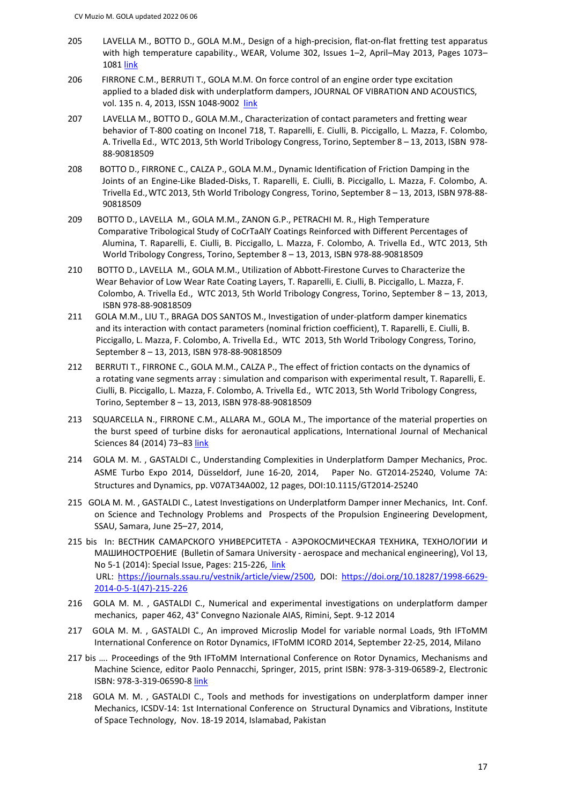- 205 LAVELLA M., BOTTO D., GOLA M.M., Design of a high-precision, flat-on-flat fretting test apparatus with high temperature capability., WEAR, [Volume 302, Issues 1–2,](http://www.sciencedirect.com/science/journal/00431648/302/1) April–May 2013, Pages 1073– 1081 link
- 206 FIRRONE C.M., BERRUTI T., GOLA M.M. On force control of an engine order type excitation applied to a bladed disk with underplatform dampers, [JOURNAL OF VIBRATION AND ACOUSTICS,](http://porto.polito.it/view/publication/JOURNAL_OF_VIBRATION_AND_ACOUSTICS.html) vol. 135 n. 4, 2013, ISSN 1048-9002 link
- 207 LAVELLA M., BOTTO D., GOLA M.M., Characterization of contact parameters and fretting wear behavior of T-800 coating on Inconel 718, T. Raparelli, E. Ciulli, B. Piccigallo, L. Mazza, F. Colombo, A. Trivella Ed., WTC 2013, 5th World Tribology Congress, Torino, September 8 – 13, 2013, ISBN 978- 88-90818509
- 208 BOTTO D., FIRRONE C., CALZA P., GOLA M.M., Dynamic Identification of Friction Damping in the Joints of an Engine-Like Bladed-Disks, T. Raparelli, E. Ciulli, B. Piccigallo, L. Mazza, F. Colombo, A. Trivella Ed.,WTC 2013, 5th World Tribology Congress, Torino, September 8 – 13, 2013, ISBN 978-88- 90818509
- 209 BOTTO D., LAVELLA M., GOLA M.M., ZANON G.P., PETRACHI M. R., High Temperature Comparative Tribological Study of CoCrTaAlY Coatings Reinforced with Different Percentages of Alumina, T. Raparelli, E. Ciulli, B. Piccigallo, L. Mazza, F. Colombo, A. Trivella Ed., WTC 2013, 5th World Tribology Congress, Torino, September 8 – 13, 2013, ISBN 978-88-90818509
- 210 BOTTO D., LAVELLA M., GOLA M.M., Utilization of Abbott-Firestone Curves to Characterize the Wear Behavior of Low Wear Rate Coating Layers, T. Raparelli, E. Ciulli, B. Piccigallo, L. Mazza, F. Colombo, A. Trivella Ed., WTC 2013, 5th World Tribology Congress, Torino, September 8 – 13, 2013, ISBN 978-88-90818509
- 211 GOLA M.M., LIU T., BRAGA DOS SANTOS M., Investigation of under-platform damper kinematics and its interaction with contact parameters (nominal friction coefficient), T. Raparelli, E. Ciulli, B. Piccigallo, L. Mazza, F. Colombo, A. Trivella Ed., WTC 2013, 5th World Tribology Congress, Torino, September 8 – 13, 2013, ISBN 978-88-90818509
- 212 BERRUTI T., FIRRONE C., GOLA M.M., CALZA P., The effect of friction contacts on the dynamics of a rotating vane segments array : simulation and comparison with experimental result, T. Raparelli, E. Ciulli, B. Piccigallo, L. Mazza, F. Colombo, A. Trivella Ed., WTC 2013, 5th World Tribology Congress, Torino, September 8 – 13, 2013, ISBN 978-88-90818509
- 213 SQUARCELLA N., FIRRONE C.M., ALLARA M., GOLA M., The importance of the material properties on the burst speed of turbine disks for aeronautical applications, International Journal of Mechanical Sciences 84 (2014) 73-83 link
- 214 GOLA M. M. , GASTALDI C., Understanding Complexities in Underplatform Damper Mechanics, Proc. ASME Turbo Expo 2014, Düsseldorf, June 16-20, 2014, Paper No. GT2014-25240, Volume 7A: Structures and Dynamics, pp. V07AT34A002, 12 pages, DOI:10.1115/GT2014-25240
- 215 GOLA M. M. , GASTALDI C., Latest Investigations on Underplatform Damper inner Mechanics, Int. Conf. on Science and Technology Problems and Prospects of the Propulsion Engineering Development, SSAU, Samara, June 25–27, 2014,
- 215 bis In: ВЕСТНИК САМАРСКОГО УНИВЕРСИТЕТА АЭРОКОСМИЧЕСКАЯ ТЕХНИКА, ТЕХНОЛОГИИ И МАШИНОСТРОЕНИЕ (Bulletin of Samara University - aerospace and mechanical engineering), Vol 13, No 5-1 (2014): Special Issue, Pages: 215-226, *link*  URL: [https://journals.ssau.ru/vestnik/article/view/2500,](https://journals.ssau.ru/vestnik/article/view/2500) DOI: [https://doi.org/10.18287/1998-6629-](https://doi.org/10.18287/1998-6629-2014-0-5-1(47)-215-226) [2014-0-5-1\(47\)-215-226](https://doi.org/10.18287/1998-6629-2014-0-5-1(47)-215-226)
- 216 GOLA M. M. , GASTALDI C., Numerical and experimental investigations on underplatform damper mechanics, paper 462, 43° Convegno Nazionale [AIAS, Rimini, Sept. 9-12 2014](http://www.aiasnet.it/Convegni/Convegno-2014/In-Evidenza/43-Convegno-Nazionale-AIAS-9-12-Settembre-2014)
- 217 GOLA M. M. , GASTALDI C., An improved Microslip Model for variable normal Loads, 9th IFToMM International Conference on Rotor Dynamics, IFToMM ICORD 2014, September 22-25, 2014, Milano
- 217 bis …. Proceedings of the 9th IFToMM International Conference on Rotor Dynamics, Mechanisms and Machine Science, editor Paolo Pennacchi, Springer, 2015, print ISBN: 978-3-319-06589-2, Electronic ISBN: 978-3-319-06590-8 link
- 218 GOLA M. M. , GASTALDI C., Tools and methods for investigations on underplatform damper inner Mechanics, ICSDV-14: 1st International Conference on Structural Dynamics and Vibrations, Institute of Space Technology, Nov. 18-19 2014, Islamabad, Pakistan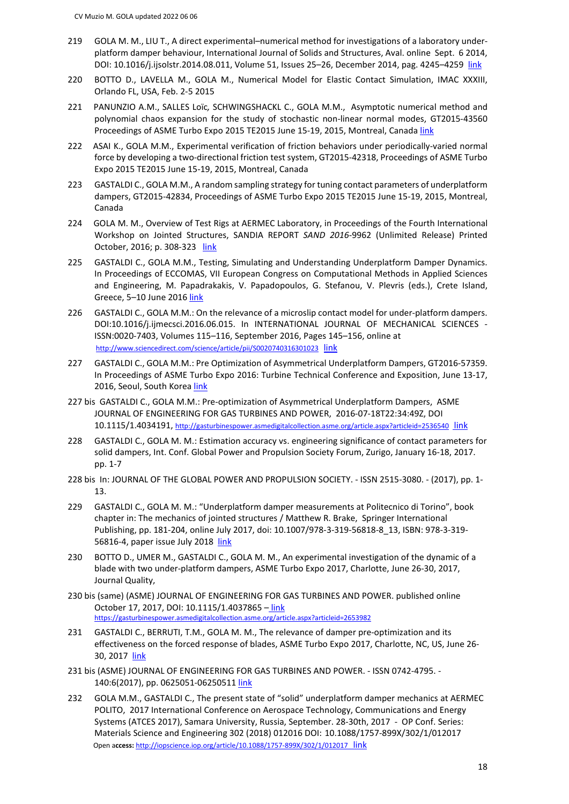- 219 GOLA M. M., LIU T., A direct experimental–numerical method for investigations of a laboratory underplatform damper behaviour[, International Journal of Solids and Structures,](http://www.sciencedirect.com/science/journal/00207683) Aval. online Sept. 6 2014, DOI: 10.1016/j.ijsolstr.2014.08.011, Volume 51, Issues 25-26, December 2014, pag. 4245-4259 link
- 220 BOTTO D., LAVELLA M., GOLA M., Numerical Model for Elastic Contact Simulation, IMAC XXXIII, Orlando FL, USA, Feb. 2-5 2015
- 221 PANUNZIO A.M., SALLES Loïc*,* SCHWINGSHACKL C., GOLA M.M., Asymptotic numerical method and polynomial chaos expansion for the study of stochastic non-linear normal modes, GT2015-43560 Proceedings of ASME Turbo Expo 2015 TE2015 June 15-19, 2015, Montreal, Canada link
- 222 ASAI K., GOLA M.M., Experimental verification of friction behaviors under periodically-varied normal force by developing a two-directional friction test system, GT2015-42318, Proceedings of ASME Turbo Expo 2015 TE2015 June 15-19, 2015, Montreal, Canada
- 223 GASTALDI C., GOLA M.M., A random sampling strategy for tuning contact parameters of underplatform dampers, GT2015-42834, Proceedings of ASME Turbo Expo 2015 TE2015 June 15-19, 2015, Montreal, Canada
- 224 GOLA M. M., Overview of Test Rigs at AERMEC Laboratory, in Proceedings of the Fourth International Workshop on Jointed Structures, SANDIA REPORT *SAND 2016*-9962 (Unlimited Release) Printed October, 2016; p. 308-323 link
- 225 GASTALDI C., GOLA M.M., Testing, Simulating and Understanding Underplatform Damper Dynamics. In Proceedings of ECCOMAS, VII European Congress on Computational Methods in Applied Sciences and Engineering, M. Papadrakakis, V. Papadopoulos, G. Stefanou, V. Plevris (eds.), Crete Island, Greece, 5-10 June 2016 link
- 226 GASTALDI C., GOLA M.M.: On the relevance of a microslip contact model for under-platform dampers. DOI:10.1016/j.ijmecsci.2016.06.015. In INTERNATIONAL JOURNAL OF MECHANICAL SCIENCES - ISSN:0020-7403, Volumes 115–116, September 2016, Pages 145–156, online at <http://www.sciencedirect.com/science/article/pii/S0020740316301023> link
- 227 GASTALDI C., GOLA M.M.: Pre Optimization of Asymmetrical Underplatform Dampers, GT2016-57359. In Proceedings of ASME Turbo Expo 2016: Turbine Technical Conference and Exposition, June 13-17, 2016, Seoul, South Korea link
- 227 bis GASTALDI C., GOLA M.M.: Pre-optimization of Asymmetrical Underplatform Dampers, ASME JOURNAL OF ENGINEERING FOR GAS TURBINES AND POWER, 2016-07-18T22:34:49Z, DOI 10.1115/1.4034191, <http://gasturbinespower.asmedigitalcollection.asme.org/article.aspx?articleid=2536540>link
- 228 GASTALDI C., GOLA M. M.: Estimation accuracy vs. engineering significance of contact parameters for solid dampers, Int. Conf. Global Power and Propulsion Society Forum, Zurigo, January 16-18, 2017. pp. 1-7
- 228 bis In: JOURNAL OF THE GLOBAL POWER AND PROPULSION SOCIETY. ISSN 2515-3080. (2017), pp. 1- 13.
- 229 GASTALDI C., GOLA M. M.: "Underplatform damper measurements at Politecnico di Torino", book chapter in: The mechanics of jointed structures / Matthew R. Brake, Springer International Publishing, pp. 181-204, online July 2017, doi: 10.1007/978-3-319-56818-8\_13, ISBN: 978-3-319- 56816-4, paper issue July 2018 link
- 230 BOTTO D., UMER M., GASTALDI C., GOLA M. M., An experimental investigation of the dynamic of a blade with two under-platform dampers, ASME Turbo Expo 2017, Charlotte, June 26-30, 2017, Journal Quality,
- 230 bis (same) (ASME) JOURNAL OF ENGINEERING FOR GAS TURBINES AND POWER. published online October 17, 2017, DOI: 10.1115/1.4037865 - link <https://gasturbinespower.asmedigitalcollection.asme.org/article.aspx?articleid=2653982>
- 231 GASTALDI C., BERRUTI, T.M., GOLA M. M., The relevance of damper pre-optimization and its effectiveness on the forced response of blades, ASME Turbo Expo 2017, Charlotte, NC, US, June 26- 30, 2017 link
- 231 bis (ASME) JOURNAL OF ENGINEERING FOR GAS TURBINES AND POWER. ISSN 0742-4795. 140:6(2017), pp. 0625051-06250511 link
- 232 GOLA M.M., GASTALDI C., The present state of "solid" underplatform damper mechanics at AERMEC POLITO, 2017 International Conference on Aerospace Technology, Communications and Energy Systems (ATCES 2017), Samara University, Russia, September. 28-30th, 2017 - OP Conf. Series: Materials Science and Engineering 302 (2018) 012016 DOI: 10.1088/1757-899X/302/1/012017 Open a**ccess:** <http://iopscience.iop.org/article/10.1088/1757-899X/302/1/012017>link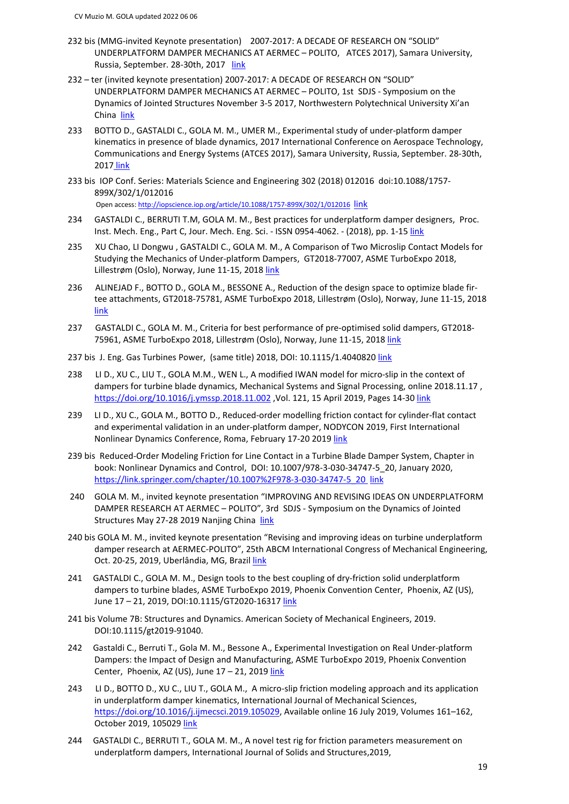- 232 bis (MMG-invited Keynote presentation) 2007-2017: A DECADE OF RESEARCH ON "SOLID" UNDERPLATFORM DAMPER MECHANICS AT AERMEC – POLITO, ATCES 2017), Samara University, Russia, September. 28-30th, 2017 link
- 232 ter (invited keynote presentation) 2007-2017: A DECADE OF RESEARCH ON "SOLID" UNDERPLATFORM DAMPER MECHANICS AT AERMEC – POLITO, 1st SDJS - Symposium on the Dynamics of Jointed Structures November 3-5 2017, Northwestern Polytechnical University Xi'an China link
- 233 BOTTO D., GASTALDI C., GOLA M. M., UMER M., Experimental study of under-platform damper kinematics in presence of blade dynamics, 2017 International Conference on Aerospace Technology, Communications and Energy Systems (ATCES 2017), Samara University, Russia, September. 28-30th, 2017 link
- 233 bis IOP Conf. Series: Materials Science and Engineering 302 (2018) 012016 doi:10.1088/1757- 899X/302/1/012016

Open access[: http://iopscience.iop.org/article/10.1088/1757-899X/302/1/012016](http://iopscience.iop.org/article/10.1088/1757-899X/302/1/012016) link

- 234 GASTALDI C., BERRUTI T.M, GOLA M. M., Best practices for underplatform damper designers, Proc. Inst. Mech. Eng., Part C, Jour. Mech. Eng. Sci. - ISSN 0954-4062. - (2018), pp. 1-15 link
- 235 XU Chao, LI Dongwu , GASTALDI C., GOLA M. M., A Comparison of Two Microslip Contact Models for Studying the Mechanics of Under-platform Dampers, GT2018-77007, ASME TurboExpo 2018, Lillestrøm (Oslo), Norway, June 11-15, 2018 link
- 236 ALINEJAD F., BOTTO D., GOLA M., BESSONE A., Reduction of the design space to optimize blade firtee attachments, GT2018-75781, ASME TurboExpo 2018, Lillestrøm (Oslo), Norway, June 11-15, 2018 link
- 237 GASTALDI C., GOLA M. M., Criteria for best performance of pre-optimised solid dampers, GT2018- 75961, ASME TurboExpo 2018, Lillestrøm (Oslo), Norway, June 11-15, 2018 link
- 237 bis J. Eng. Gas Turbines Power, (same title) 2018, DOI: 10.1115/1.4040820 link
- 238 LI D., XU C., LIU T., GOLA M.M., WEN L., A modified IWAN model for micro-slip in the context of dampers for turbine blade dynamics, Mechanical Systems and Signal Processing, online 2018.11.17 , <https://doi.org/10.1016/j.ymssp.2018.11.002> ,Vol. 121, 15 April 2019, Pages 14-30 link
- 239 LI D., XU C., GOLA M., BOTTO D., Reduced-order modelling friction contact for cylinder-flat contact and experimental validation in an under-platform damper, NODYCON 2019, First International Nonlinear Dynamics Conference, Roma, February 17-20 2019 link
- 239 bis Reduced-Order Modeling Friction for Line Contact in a Turbine Blade Damper System, Chapter in book: Nonlinear Dynamics and Control, DOI: 10.1007/978-3-030-34747-5\_20, January 2020, [https://link.springer.com/chapter/10.1007%2F978-3-030-34747-5\\_20](https://link.springer.com/chapter/10.1007%2F978-3-030-34747-5_20) link
- 240 GOLA M. M., invited keynote presentation "IMPROVING AND REVISING IDEAS ON UNDERPLATFORM DAMPER RESEARCH AT AERMEC – POLITO", 3rd SDJS - Symposium on the Dynamics of Jointed Structures May 27-28 2019 Nanjing China link
- 240 bis GOLA M. M., invited keynote presentation "Revising and improving ideas on turbine underplatform damper research at AERMEC-POLITO", 25th ABCM International Congress of Mechanical Engineering, Oct. 20-25, 2019, Uberlândia, MG, Brazil link
- 241 GASTALDI C., GOLA M. M., Design tools to the best coupling of dry-friction solid underplatform dampers to turbine blades, ASME TurboExpo 2019, Phoenix Convention Center, Phoenix, AZ (US), June 17 - 21, 2019, DOI:10.1115/GT2020-16317 link
- 241 bis Volume 7B: Structures and Dynamics. American Society of Mechanical Engineers, 2019. DOI:10.1115/gt2019-91040.
- 242 Gastaldi C., Berruti T., Gola M. M., Bessone A., Experimental Investigation on Real Under-platform Dampers: the Impact of Design and Manufacturing, ASME TurboExpo 2019, Phoenix Convention Center, Phoenix, AZ (US), June  $17 - 21$ , 2019 link
- 243 LI D., BOTTO D., XU C., LIU T., GOLA M., A micro-slip friction modeling approach and its application in underplatform damper kinematics, International Journal of Mechanical Sciences, [https://doi.org/10.1016/j.ijmecsci.2019.105029,](https://doi.org/10.1016/j.ijmecsci.2019.105029) Available online 16 July 2019, Volumes 161–162, October 2019, 105029 link
- 244 GASTALDI C., BERRUTI T., GOLA M. M., A novel test rig for friction parameters measurement on underplatform dampers, International Journal of Solids and Structures,2019,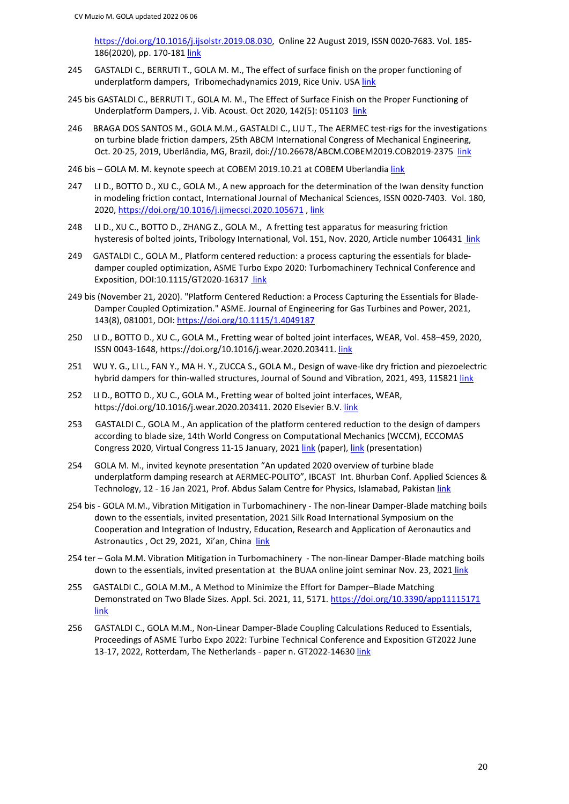[https://doi.org/10.1016/j.ijsolstr.2019.08.030,](https://doi.org/10.1016/j.ijsolstr.2019.08.030) Online 22 August 2019, ISSN 0020-7683. Vol. 185- 186(2020), pp. 170-181 link

- 245 GASTALDI C., BERRUTI T., GOLA M. M., The effect of surface finish on the proper functioning of underplatform dampers, Tribomechadynamics 2019, Rice Univ. USA link
- 245 bis GASTALDI C., BERRUTI T., GOLA M. M., The Effect of Surface Finish on the Proper Functioning of Underplatform Dampers, J. Vib. Acoust. Oct 2020, 142(5): 051103 link
- 246 BRAGA DOS SANTOS M., GOLA M.M., GASTALDI C., LIU T., The AERMEC test-rigs for the investigations on turbine blade friction dampers, 25th ABCM International Congress of Mechanical Engineering, Oct. 20-25, 2019, Uberlândia, MG, Brazil, doi://10.26678/ABCM.COBEM2019.COB2019-2375 link

246 bis - GOLA M. M. keynote speech at COBEM 2019.10.21 at COBEM Uberlandia link

- 247 LI D., BOTTO D., XU C., GOLA M., A new approach for the determination of the Iwan density function in modeling friction contact, International Journal of Mechanical Sciences, ISSN 0020-7403. Vol. 180, 2020,<https://doi.org/10.1016/j.ijmecsci.2020.105671> , link
- 248 LI D., XU C., BOTTO D., ZHANG Z., GOLA M., A fretting test apparatus for measuring friction hysteresis of bolted joints, Tribology International, Vol. 151, Nov. 2020, Article number 106431 link
- 249 GASTALDI C., GOLA M., Platform centered reduction: a process capturing the essentials for bladedamper coupled optimization, ASME Turbo Expo 2020: Turbomachinery Technical Conference and Exposition, DOI:10.1115/GT2020-16317 link
- 249 bis (November 21, 2020). "Platform Centered Reduction: a Process Capturing the Essentials for Blade-Damper Coupled Optimization." ASME. Journal of Engineering for Gas Turbines and Power, 2021, 143(8), 081001, DOI[: https://doi.org/10.1115/1.4049187](https://doi.org/10.1115/1.4049187)
- 250 LI D., BOTTO D., XU C., GOLA M., Fretting wear of bolted joint interfaces, WEAR, Vol. 458–459, 2020, ISSN 0043-1648, https://doi.org/10.1016/j.wear.2020.203411. link
- 251 WU Y. G., LI L., FAN Y., MA H. Y., ZUCCA S., GOLA M., Design of wave-like dry friction and piezoelectric hybrid dampers for thin-walled structures, Journal of Sound and Vibration, 2021, 493, 115821 link
- 252 LI D., BOTTO D., XU C., GOLA M., Fretting wear of bolted joint interfaces, WEAR, https://doi.org/10.1016/j.wear.2020.203411. 2020 Elsevier B.V. link
- 253 GASTALDI C., GOLA M., An application of the platform centered reduction to the design of dampers according to blade size, 14th World Congress on Computational Mechanics (WCCM), ECCOMAS Congress 2020, Virtual Congress 11-15 January, 2021 link (paper), link (presentation)
- 254 GOLA M. M., invited keynote presentation "An updated 2020 overview of turbine blade underplatform damping research at AERMEC-POLITO", IBCAST Int. Bhurban Conf. Applied Sciences & Technology, 12 - 16 Jan 2021, Prof. Abdus Salam Centre for Physics, Islamabad, Pakistan link
- 254 bis GOLA M.M., Vibration Mitigation in Turbomachinery The non-linear Damper-Blade matching boils down to the essentials, invited presentation, 2021 Silk Road International Symposium on the Cooperation and Integration of Industry, Education, Research and Application of Aeronautics and Astronautics , Oct 29, 2021, Xi'an, China link
- 254 ter Gola M.M. Vibration Mitigation in Turbomachinery The non-linear Damper-Blade matching boils down to the essentials, invited presentation at the BUAA online joint seminar Nov. 23, 2021 link
- 255 GASTALDI C., GOLA M.M., A Method to Minimize the Effort for Damper–Blade Matching Demonstrated on Two Blade Sizes. Appl. Sci. 2021, 11, 5171.<https://doi.org/10.3390/app11115171> link
- 256 GASTALDI C., GOLA M.M., Non-Linear Damper-Blade Coupling Calculations Reduced to Essentials, Proceedings of ASME Turbo Expo 2022: Turbine Technical Conference and Exposition GT2022 June 13-17, 2022, Rotterdam, The Netherlands - paper n. GT2022-14630 link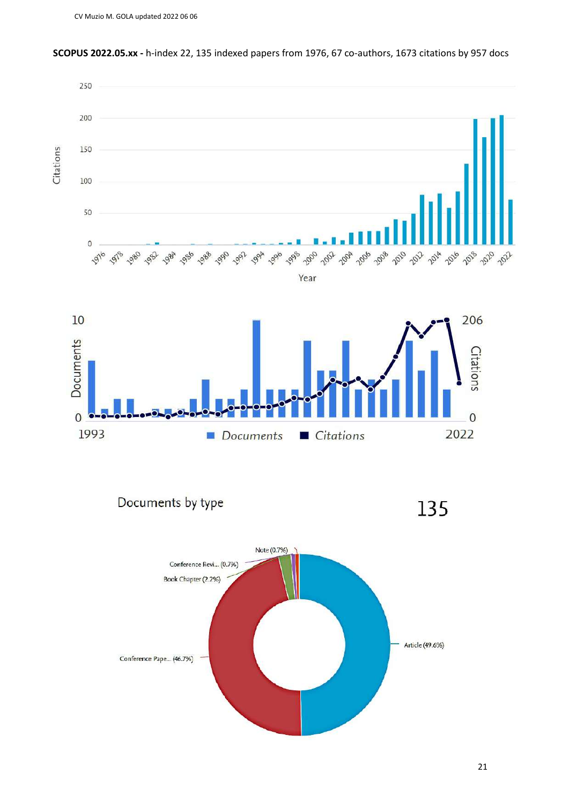

**SCOPUS 2022.05.xx -** h-index 22, 135 indexed papers from 1976, 67 co-authors, 1673 citations by 957 docs

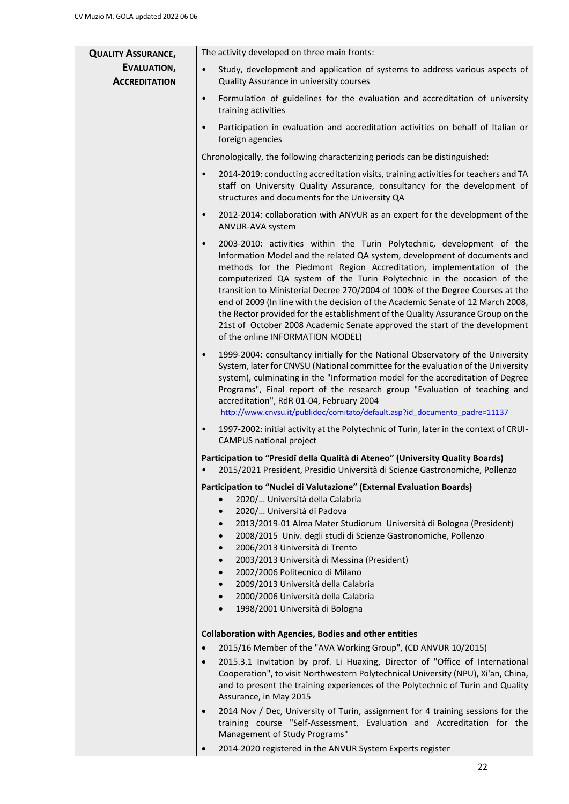| <b>QUALITY ASSURANCE,</b>           | The activity developed on three main fronts:                                                                                                                                                                                                                                                                                                                                                                                                                                                                                                                                                                                                                                                 |
|-------------------------------------|----------------------------------------------------------------------------------------------------------------------------------------------------------------------------------------------------------------------------------------------------------------------------------------------------------------------------------------------------------------------------------------------------------------------------------------------------------------------------------------------------------------------------------------------------------------------------------------------------------------------------------------------------------------------------------------------|
|                                     |                                                                                                                                                                                                                                                                                                                                                                                                                                                                                                                                                                                                                                                                                              |
| EVALUATION,<br><b>ACCREDITATION</b> | Study, development and application of systems to address various aspects of<br>Quality Assurance in university courses                                                                                                                                                                                                                                                                                                                                                                                                                                                                                                                                                                       |
|                                     | Formulation of guidelines for the evaluation and accreditation of university<br>$\bullet$<br>training activities                                                                                                                                                                                                                                                                                                                                                                                                                                                                                                                                                                             |
|                                     | Participation in evaluation and accreditation activities on behalf of Italian or<br>$\bullet$<br>foreign agencies                                                                                                                                                                                                                                                                                                                                                                                                                                                                                                                                                                            |
|                                     | Chronologically, the following characterizing periods can be distinguished:                                                                                                                                                                                                                                                                                                                                                                                                                                                                                                                                                                                                                  |
|                                     | 2014-2019: conducting accreditation visits, training activities for teachers and TA<br>$\bullet$<br>staff on University Quality Assurance, consultancy for the development of<br>structures and documents for the University QA                                                                                                                                                                                                                                                                                                                                                                                                                                                              |
|                                     | 2012-2014: collaboration with ANVUR as an expert for the development of the<br>$\bullet$<br>ANVUR-AVA system                                                                                                                                                                                                                                                                                                                                                                                                                                                                                                                                                                                 |
|                                     | 2003-2010: activities within the Turin Polytechnic, development of the<br>$\bullet$<br>Information Model and the related QA system, development of documents and<br>methods for the Piedmont Region Accreditation, implementation of the<br>computerized QA system of the Turin Polytechnic in the occasion of the<br>transition to Ministerial Decree 270/2004 of 100% of the Degree Courses at the<br>end of 2009 (In line with the decision of the Academic Senate of 12 March 2008,<br>the Rector provided for the establishment of the Quality Assurance Group on the<br>21st of October 2008 Academic Senate approved the start of the development<br>of the online INFORMATION MODEL) |
|                                     | 1999-2004: consultancy initially for the National Observatory of the University<br>$\bullet$<br>System, later for CNVSU (National committee for the evaluation of the University<br>system), culminating in the "Information model for the accreditation of Degree<br>Programs", Final report of the research group "Evaluation of teaching and<br>accreditation", RdR 01-04, February 2004<br>http://www.cnvsu.it/publidoc/comitato/default.asp?id_documento_padre=11137                                                                                                                                                                                                                    |
|                                     | 1997-2002: initial activity at the Polytechnic of Turin, later in the context of CRUI-<br>$\bullet$<br>CAMPUS national project                                                                                                                                                                                                                                                                                                                                                                                                                                                                                                                                                               |
|                                     | Participation to "Presidî della Qualità di Ateneo" (University Quality Boards)<br>2015/2021 President, Presidio Università di Scienze Gastronomiche, Pollenzo                                                                                                                                                                                                                                                                                                                                                                                                                                                                                                                                |
|                                     | Participation to "Nuclei di Valutazione" (External Evaluation Boards)<br>2020/ Università della Calabria                                                                                                                                                                                                                                                                                                                                                                                                                                                                                                                                                                                     |
|                                     | 2020/ Università di Padova<br>$\bullet$                                                                                                                                                                                                                                                                                                                                                                                                                                                                                                                                                                                                                                                      |
|                                     | 2013/2019-01 Alma Mater Studiorum Università di Bologna (President)<br>$\bullet$                                                                                                                                                                                                                                                                                                                                                                                                                                                                                                                                                                                                             |
|                                     | 2008/2015 Univ. degli studi di Scienze Gastronomiche, Pollenzo<br>$\bullet$                                                                                                                                                                                                                                                                                                                                                                                                                                                                                                                                                                                                                  |
|                                     | 2006/2013 Università di Trento                                                                                                                                                                                                                                                                                                                                                                                                                                                                                                                                                                                                                                                               |
|                                     | 2003/2013 Università di Messina (President)<br>$\bullet$                                                                                                                                                                                                                                                                                                                                                                                                                                                                                                                                                                                                                                     |
|                                     | 2002/2006 Politecnico di Milano                                                                                                                                                                                                                                                                                                                                                                                                                                                                                                                                                                                                                                                              |
|                                     | 2009/2013 Università della Calabria                                                                                                                                                                                                                                                                                                                                                                                                                                                                                                                                                                                                                                                          |
|                                     | 2000/2006 Università della Calabria                                                                                                                                                                                                                                                                                                                                                                                                                                                                                                                                                                                                                                                          |
|                                     | 1998/2001 Università di Bologna                                                                                                                                                                                                                                                                                                                                                                                                                                                                                                                                                                                                                                                              |
|                                     |                                                                                                                                                                                                                                                                                                                                                                                                                                                                                                                                                                                                                                                                                              |
|                                     | <b>Collaboration with Agencies, Bodies and other entities</b>                                                                                                                                                                                                                                                                                                                                                                                                                                                                                                                                                                                                                                |
|                                     | 2015/16 Member of the "AVA Working Group", (CD ANVUR 10/2015)<br>$\bullet$                                                                                                                                                                                                                                                                                                                                                                                                                                                                                                                                                                                                                   |
|                                     | 2015.3.1 Invitation by prof. Li Huaxing, Director of "Office of International<br>$\bullet$<br>Cooperation", to visit Northwestern Polytechnical University (NPU), Xi'an, China,<br>and to present the training experiences of the Polytechnic of Turin and Quality<br>Assurance, in May 2015                                                                                                                                                                                                                                                                                                                                                                                                 |
|                                     | 2014 Nov / Dec, University of Turin, assignment for 4 training sessions for the<br>$\bullet$<br>training course "Self-Assessment, Evaluation and Accreditation for the<br>Management of Study Programs"                                                                                                                                                                                                                                                                                                                                                                                                                                                                                      |
|                                     |                                                                                                                                                                                                                                                                                                                                                                                                                                                                                                                                                                                                                                                                                              |

• 2014-2020 registered in the ANVUR System Experts register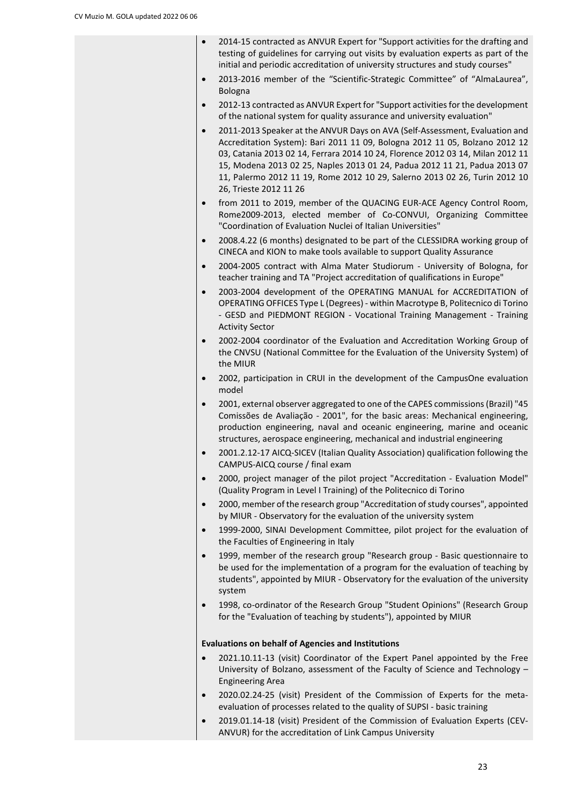| 2014-15 contracted as ANVUR Expert for "Support activities for the drafting and<br>testing of guidelines for carrying out visits by evaluation experts as part of the<br>initial and periodic accreditation of university structures and study courses"                                                                                                                                                                                        |
|------------------------------------------------------------------------------------------------------------------------------------------------------------------------------------------------------------------------------------------------------------------------------------------------------------------------------------------------------------------------------------------------------------------------------------------------|
| 2013-2016 member of the "Scientific-Strategic Committee" of "AlmaLaurea",<br>$\bullet$<br>Bologna                                                                                                                                                                                                                                                                                                                                              |
| 2012-13 contracted as ANVUR Expert for "Support activities for the development<br>$\bullet$<br>of the national system for quality assurance and university evaluation"                                                                                                                                                                                                                                                                         |
| 2011-2013 Speaker at the ANVUR Days on AVA (Self-Assessment, Evaluation and<br>$\bullet$<br>Accreditation System): Bari 2011 11 09, Bologna 2012 11 05, Bolzano 2012 12<br>03, Catania 2013 02 14, Ferrara 2014 10 24, Florence 2012 03 14, Milan 2012 11<br>15, Modena 2013 02 25, Naples 2013 01 24, Padua 2012 11 21, Padua 2013 07<br>11, Palermo 2012 11 19, Rome 2012 10 29, Salerno 2013 02 26, Turin 2012 10<br>26, Trieste 2012 11 26 |
| from 2011 to 2019, member of the QUACING EUR-ACE Agency Control Room,<br>$\bullet$<br>Rome2009-2013, elected member of Co-CONVUI, Organizing Committee<br>"Coordination of Evaluation Nuclei of Italian Universities"                                                                                                                                                                                                                          |
| 2008.4.22 (6 months) designated to be part of the CLESSIDRA working group of<br>$\bullet$<br>CINECA and KION to make tools available to support Quality Assurance                                                                                                                                                                                                                                                                              |
| 2004-2005 contract with Alma Mater Studiorum - University of Bologna, for<br>$\bullet$<br>teacher training and TA "Project accreditation of qualifications in Europe"                                                                                                                                                                                                                                                                          |
| 2003-2004 development of the OPERATING MANUAL for ACCREDITATION of<br>$\bullet$<br>OPERATING OFFICES Type L (Degrees) - within Macrotype B, Politecnico di Torino<br>- GESD and PIEDMONT REGION - Vocational Training Management - Training<br><b>Activity Sector</b>                                                                                                                                                                          |
| 2002-2004 coordinator of the Evaluation and Accreditation Working Group of<br>the CNVSU (National Committee for the Evaluation of the University System) of<br>the MIUR                                                                                                                                                                                                                                                                        |
| 2002, participation in CRUI in the development of the CampusOne evaluation<br>$\bullet$<br>model                                                                                                                                                                                                                                                                                                                                               |
| 2001, external observer aggregated to one of the CAPES commissions (Brazil) "45<br>Comissões de Avaliação - 2001", for the basic areas: Mechanical engineering,<br>production engineering, naval and oceanic engineering, marine and oceanic<br>structures, aerospace engineering, mechanical and industrial engineering<br>2001.2.12-17 AICQ-SICEV (Italian Quality Association) qualification following the                                  |
| CAMPUS-AICQ course / final exam                                                                                                                                                                                                                                                                                                                                                                                                                |
| 2000, project manager of the pilot project "Accreditation - Evaluation Model"<br>$\bullet$<br>(Quality Program in Level I Training) of the Politecnico di Torino                                                                                                                                                                                                                                                                               |
| 2000, member of the research group "Accreditation of study courses", appointed<br>$\bullet$<br>by MIUR - Observatory for the evaluation of the university system                                                                                                                                                                                                                                                                               |
| 1999-2000, SINAI Development Committee, pilot project for the evaluation of<br>the Faculties of Engineering in Italy                                                                                                                                                                                                                                                                                                                           |
| 1999, member of the research group "Research group - Basic questionnaire to<br>$\bullet$<br>be used for the implementation of a program for the evaluation of teaching by<br>students", appointed by MIUR - Observatory for the evaluation of the university<br>system                                                                                                                                                                         |
| 1998, co-ordinator of the Research Group "Student Opinions" (Research Group<br>for the "Evaluation of teaching by students"), appointed by MIUR                                                                                                                                                                                                                                                                                                |
| <b>Evaluations on behalf of Agencies and Institutions</b>                                                                                                                                                                                                                                                                                                                                                                                      |
| 2021.10.11-13 (visit) Coordinator of the Expert Panel appointed by the Free<br>University of Bolzano, assessment of the Faculty of Science and Technology -<br><b>Engineering Area</b>                                                                                                                                                                                                                                                         |
| 2020.02.24-25 (visit) President of the Commission of Experts for the meta-<br>evaluation of processes related to the quality of SUPSI - basic training                                                                                                                                                                                                                                                                                         |
| 2019.01.14-18 (visit) President of the Commission of Evaluation Experts (CEV-<br>$\bullet$<br>ANVUR) for the accreditation of Link Campus University                                                                                                                                                                                                                                                                                           |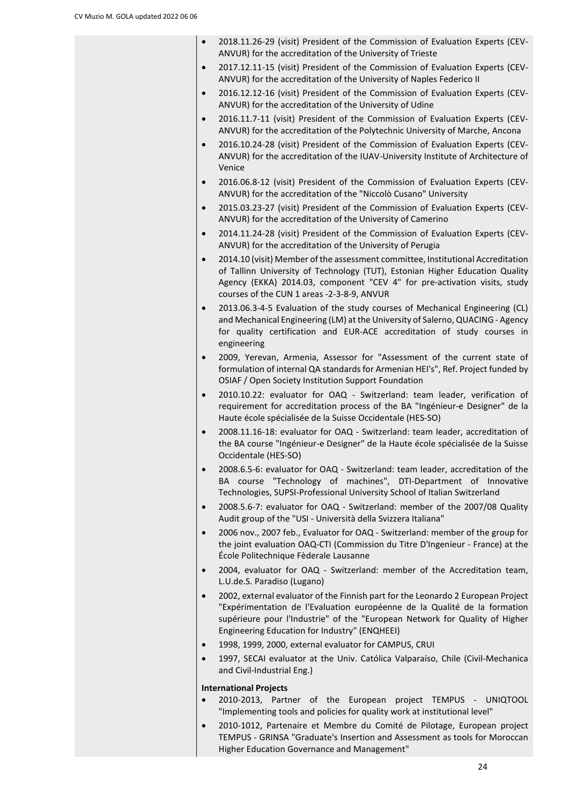Î.

| 2018.11.26-29 (visit) President of the Commission of Evaluation Experts (CEV-<br>ANVUR) for the accreditation of the University of Trieste                                                                                                                                                                 |
|------------------------------------------------------------------------------------------------------------------------------------------------------------------------------------------------------------------------------------------------------------------------------------------------------------|
| 2017.12.11-15 (visit) President of the Commission of Evaluation Experts (CEV-<br>$\bullet$<br>ANVUR) for the accreditation of the University of Naples Federico II                                                                                                                                         |
| 2016.12.12-16 (visit) President of the Commission of Evaluation Experts (CEV-<br>$\bullet$                                                                                                                                                                                                                 |
| ANVUR) for the accreditation of the University of Udine<br>2016.11.7-11 (visit) President of the Commission of Evaluation Experts (CEV-<br>$\bullet$                                                                                                                                                       |
| ANVUR) for the accreditation of the Polytechnic University of Marche, Ancona                                                                                                                                                                                                                               |
| 2016.10.24-28 (visit) President of the Commission of Evaluation Experts (CEV-<br>$\bullet$<br>ANVUR) for the accreditation of the IUAV-University Institute of Architecture of<br>Venice                                                                                                                   |
| 2016.06.8-12 (visit) President of the Commission of Evaluation Experts (CEV-<br>$\bullet$<br>ANVUR) for the accreditation of the "Niccolò Cusano" University                                                                                                                                               |
| 2015.03.23-27 (visit) President of the Commission of Evaluation Experts (CEV-<br>$\bullet$<br>ANVUR) for the accreditation of the University of Camerino                                                                                                                                                   |
| 2014.11.24-28 (visit) President of the Commission of Evaluation Experts (CEV-<br>$\bullet$<br>ANVUR) for the accreditation of the University of Perugia                                                                                                                                                    |
| 2014.10 (visit) Member of the assessment committee, Institutional Accreditation<br>$\bullet$<br>of Tallinn University of Technology (TUT), Estonian Higher Education Quality<br>Agency (EKKA) 2014.03, component "CEV 4" for pre-activation visits, study<br>courses of the CUN 1 areas -2-3-8-9, ANVUR    |
| 2013.06.3-4-5 Evaluation of the study courses of Mechanical Engineering (CL)<br>$\bullet$<br>and Mechanical Engineering (LM) at the University of Salerno, QUACING - Agency<br>for quality certification and EUR-ACE accreditation of study courses in<br>engineering                                      |
| 2009, Yerevan, Armenia, Assessor for "Assessment of the current state of<br>$\bullet$<br>formulation of internal QA standards for Armenian HEI's", Ref. Project funded by<br>OSIAF / Open Society Institution Support Foundation                                                                           |
| 2010.10.22: evaluator for OAQ - Switzerland: team leader, verification of<br>$\bullet$<br>requirement for accreditation process of the BA "Ingénieur-e Designer" de la<br>Haute école spécialisée de la Suisse Occidentale (HES-SO)                                                                        |
| 2008.11.16-18: evaluator for OAQ - Switzerland: team leader, accreditation of<br>$\bullet$<br>the BA course "Ingénieur-e Designer" de la Haute école spécialisée de la Suisse<br>Occidentale (HES-SO)                                                                                                      |
| 2008.6.5-6: evaluator for OAQ - Switzerland: team leader, accreditation of the<br>BA course "Technology of machines", DTI-Department of Innovative<br>Technologies, SUPSI-Professional University School of Italian Switzerland                                                                            |
| 2008.5.6-7: evaluator for OAQ - Switzerland: member of the 2007/08 Quality<br>$\bullet$<br>Audit group of the "USI - Università della Svizzera Italiana"                                                                                                                                                   |
| 2006 nov., 2007 feb., Evaluator for OAQ - Switzerland: member of the group for<br>$\bullet$<br>the joint evaluation OAQ-CTI (Commission du Titre D'Ingenieur - France) at the<br>École Politechnique Fèderale Lausanne                                                                                     |
| 2004, evaluator for OAQ - Switzerland: member of the Accreditation team,<br>$\bullet$<br>L.U.de.S. Paradiso (Lugano)                                                                                                                                                                                       |
| 2002, external evaluator of the Finnish part for the Leonardo 2 European Project<br>$\bullet$<br>"Expérimentation de l'Evaluation européenne de la Qualité de la formation<br>supérieure pour l'Industrie" of the "European Network for Quality of Higher<br>Engineering Education for Industry" (ENQHEEI) |
| 1998, 1999, 2000, external evaluator for CAMPUS, CRUI<br>$\bullet$                                                                                                                                                                                                                                         |
| 1997, SECAI evaluator at the Univ. Católica Valparaíso, Chile (Civil-Mechanica<br>and Civil-Industrial Eng.)                                                                                                                                                                                               |
| <b>International Projects</b>                                                                                                                                                                                                                                                                              |
| 2010-2013, Partner of the European project TEMPUS - UNIQTOOL<br>$\bullet$<br>"Implementing tools and policies for quality work at institutional level"                                                                                                                                                     |
| 2010-1012, Partenaire et Membre du Comité de Pilotage, European project<br>$\bullet$<br>TEMPUS - GRINSA "Graduate's Insertion and Assessment as tools for Moroccan                                                                                                                                         |

Higher Education Governance and Management"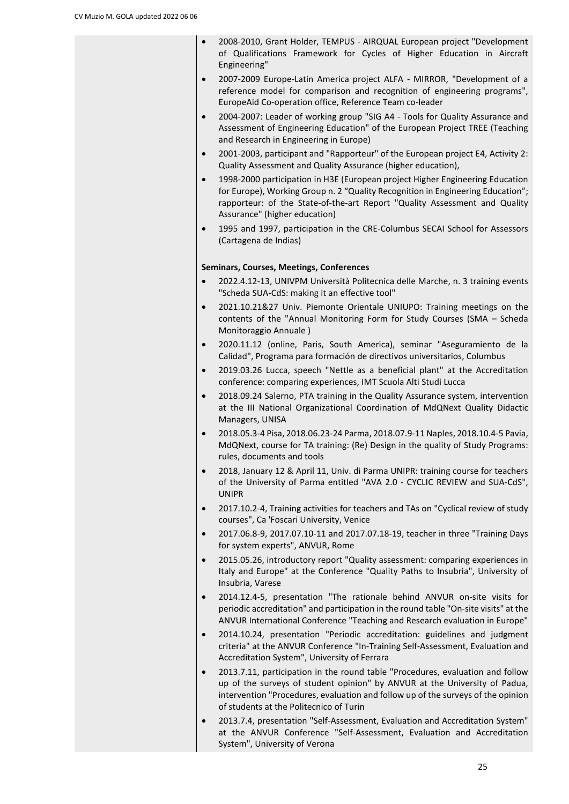|           | 2008-2010, Grant Holder, TEMPUS - AIRQUAL European project "Development<br>of Qualifications Framework for Cycles of Higher Education in Aircraft<br>Engineering"                                                                                                                           |
|-----------|---------------------------------------------------------------------------------------------------------------------------------------------------------------------------------------------------------------------------------------------------------------------------------------------|
| $\bullet$ | 2007-2009 Europe-Latin America project ALFA - MIRROR, "Development of a<br>reference model for comparison and recognition of engineering programs",<br>EuropeAid Co-operation office, Reference Team co-leader                                                                              |
| $\bullet$ | 2004-2007: Leader of working group "SIG A4 - Tools for Quality Assurance and<br>Assessment of Engineering Education" of the European Project TREE (Teaching<br>and Research in Engineering in Europe)                                                                                       |
| $\bullet$ | 2001-2003, participant and "Rapporteur" of the European project E4, Activity 2:<br>Quality Assessment and Quality Assurance (higher education),                                                                                                                                             |
| $\bullet$ | 1998-2000 participation in H3E (European project Higher Engineering Education<br>for Europe), Working Group n. 2 "Quality Recognition in Engineering Education";<br>rapporteur: of the State-of-the-art Report "Quality Assessment and Quality<br>Assurance" (higher education)             |
| $\bullet$ | 1995 and 1997, participation in the CRE-Columbus SECAI School for Assessors<br>(Cartagena de Indias)                                                                                                                                                                                        |
|           | Seminars, Courses, Meetings, Conferences                                                                                                                                                                                                                                                    |
| $\bullet$ | 2022.4.12-13, UNIVPM Università Politecnica delle Marche, n. 3 training events<br>"Scheda SUA-CdS: making it an effective tool"                                                                                                                                                             |
| $\bullet$ | 2021.10.21&27 Univ. Piemonte Orientale UNIUPO: Training meetings on the<br>contents of the "Annual Monitoring Form for Study Courses (SMA - Scheda<br>Monitoraggio Annuale)                                                                                                                 |
| $\bullet$ | 2020.11.12 (online, Paris, South America), seminar "Aseguramiento de la<br>Calidad", Programa para formación de directivos universitarios, Columbus                                                                                                                                         |
| $\bullet$ | 2019.03.26 Lucca, speech "Nettle as a beneficial plant" at the Accreditation<br>conference: comparing experiences, IMT Scuola Alti Studi Lucca                                                                                                                                              |
| $\bullet$ | 2018.09.24 Salerno, PTA training in the Quality Assurance system, intervention<br>at the III National Organizational Coordination of MdQNext Quality Didactic<br>Managers, UNISA                                                                                                            |
| $\bullet$ | 2018.05.3-4 Pisa, 2018.06.23-24 Parma, 2018.07.9-11 Naples, 2018.10.4-5 Pavia,<br>MdQNext, course for TA training: (Re) Design in the quality of Study Programs:<br>rules, documents and tools                                                                                              |
| $\bullet$ | 2018, January 12 & April 11, Univ. di Parma UNIPR: training course for teachers<br>of the University of Parma entitled "AVA 2.0 - CYCLIC REVIEW and SUA-CdS",<br><b>UNIPR</b>                                                                                                               |
| $\bullet$ | 2017.10.2-4, Training activities for teachers and TAs on "Cyclical review of study<br>courses", Ca 'Foscari University, Venice                                                                                                                                                              |
| $\bullet$ | 2017.06.8-9, 2017.07.10-11 and 2017.07.18-19, teacher in three "Training Days<br>for system experts", ANVUR, Rome                                                                                                                                                                           |
| $\bullet$ | 2015.05.26, introductory report "Quality assessment: comparing experiences in<br>Italy and Europe" at the Conference "Quality Paths to Insubria", University of<br>Insubria, Varese                                                                                                         |
| $\bullet$ | 2014.12.4-5, presentation "The rationale behind ANVUR on-site visits for<br>periodic accreditation" and participation in the round table "On-site visits" at the<br>ANVUR International Conference "Teaching and Research evaluation in Europe"                                             |
| $\bullet$ | 2014.10.24, presentation "Periodic accreditation: guidelines and judgment<br>criteria" at the ANVUR Conference "In-Training Self-Assessment, Evaluation and<br>Accreditation System", University of Ferrara                                                                                 |
| $\bullet$ | 2013.7.11, participation in the round table "Procedures, evaluation and follow<br>up of the surveys of student opinion" by ANVUR at the University of Padua,<br>intervention "Procedures, evaluation and follow up of the surveys of the opinion<br>of students at the Politecnico of Turin |
| $\bullet$ | 2013.7.4, presentation "Self-Assessment, Evaluation and Accreditation System"<br>at the ANVUR Conference "Self-Assessment, Evaluation and Accreditation<br>System", University of Verona                                                                                                    |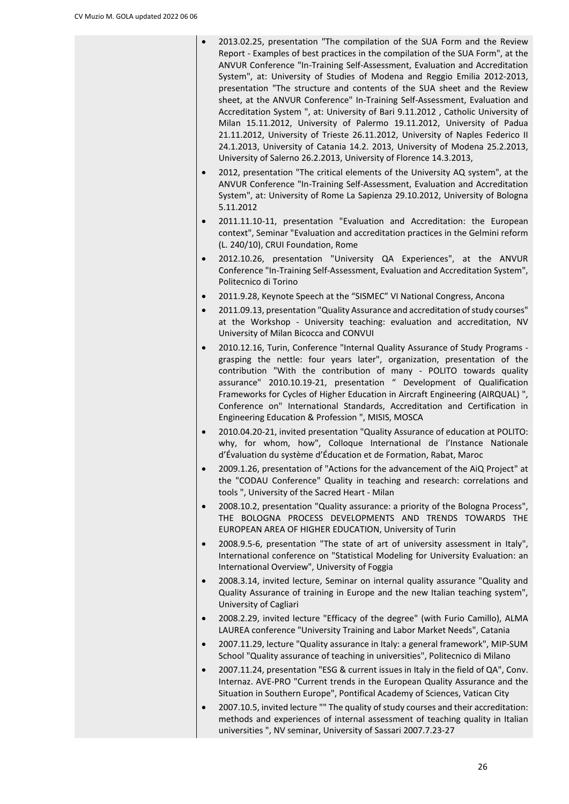| 2013.02.25, presentation "The compilation of the SUA Form and the Review         |
|----------------------------------------------------------------------------------|
| Report - Examples of best practices in the compilation of the SUA Form", at the  |
| ANVUR Conference "In-Training Self-Assessment, Evaluation and Accreditation      |
| System", at: University of Studies of Modena and Reggio Emilia 2012-2013,        |
| presentation "The structure and contents of the SUA sheet and the Review         |
| sheet, at the ANVUR Conference" In-Training Self-Assessment, Evaluation and      |
| Accreditation System ", at: University of Bari 9.11.2012, Catholic University of |
| Milan 15.11.2012, University of Palermo 19.11.2012, University of Padua          |
| 21.11.2012, University of Trieste 26.11.2012, University of Naples Federico II   |
| 24.1.2013, University of Catania 14.2. 2013, University of Modena 25.2.2013,     |
| University of Salerno 26.2.2013, University of Florence 14.3.2013,               |
|                                                                                  |

- 2012, presentation "The critical elements of the University AQ system", at the ANVUR Conference "In-Training Self-Assessment, Evaluation and Accreditation System", at: University of Rome La Sapienza 29.10.2012, University of Bologna 5.11.2012
- 2011.11.10-11, presentation "Evaluation and Accreditation: the European context", Seminar "Evaluation and accreditation practices in the Gelmini reform (L. 240/10), CRUI Foundation, Rome
- 2012.10.26, presentation "University QA Experiences", at the ANVUR Conference "In-Training Self-Assessment, Evaluation and Accreditation System", Politecnico di Torino
- 2011.9.28, Keynote Speech at the "SISMEC" VI National Congress, Ancona
- 2011.09.13, presentation "Quality Assurance and accreditation of study courses" at the Workshop - University teaching: evaluation and accreditation, NV University of Milan Bicocca and CONVUI
- 2010.12.16, Turin, Conference "Internal Quality Assurance of Study Programs grasping the nettle: four years later", organization, presentation of the contribution "With the contribution of many - POLITO towards quality assurance" 2010.10.19-21, presentation " Development of Qualification Frameworks for Cycles of Higher Education in Aircraft Engineering (AIRQUAL) ", Conference on" International Standards, Accreditation and Certification in Engineering Education & Profession ", MISIS, MOSCA
- 2010.04.20-21, invited presentation "Quality Assurance of education at POLITO: why, for whom, how", Colloque International de l'Instance Nationale d'Évaluation du système d'Éducation et de Formation, Rabat, Maroc
- 2009.1.26, presentation of "Actions for the advancement of the AiQ Project" at the "CODAU Conference" Quality in teaching and research: correlations and tools ", University of the Sacred Heart - Milan
- 2008.10.2, presentation "Quality assurance: a priority of the Bologna Process", THE BOLOGNA PROCESS DEVELOPMENTS AND TRENDS TOWARDS THE EUROPEAN AREA OF HIGHER EDUCATION, University of Turin
- 2008.9.5-6, presentation "The state of art of university assessment in Italy", International conference on "Statistical Modeling for University Evaluation: an International Overview", University of Foggia
- 2008.3.14, invited lecture, Seminar on internal quality assurance "Quality and Quality Assurance of training in Europe and the new Italian teaching system", University of Cagliari
- 2008.2.29, invited lecture "Efficacy of the degree" (with Furio Camillo), ALMA LAUREA conference "University Training and Labor Market Needs", Catania
- 2007.11.29, lecture "Quality assurance in Italy: a general framework", MIP-SUM School "Quality assurance of teaching in universities", Politecnico di Milano
- 2007.11.24, presentation "ESG & current issues in Italy in the field of QA", Conv. Internaz. AVE-PRO "Current trends in the European Quality Assurance and the Situation in Southern Europe", Pontifical Academy of Sciences, Vatican City
- 2007.10.5, invited lecture "" The quality of study courses and their accreditation: methods and experiences of internal assessment of teaching quality in Italian universities ", NV seminar, University of Sassari 2007.7.23-27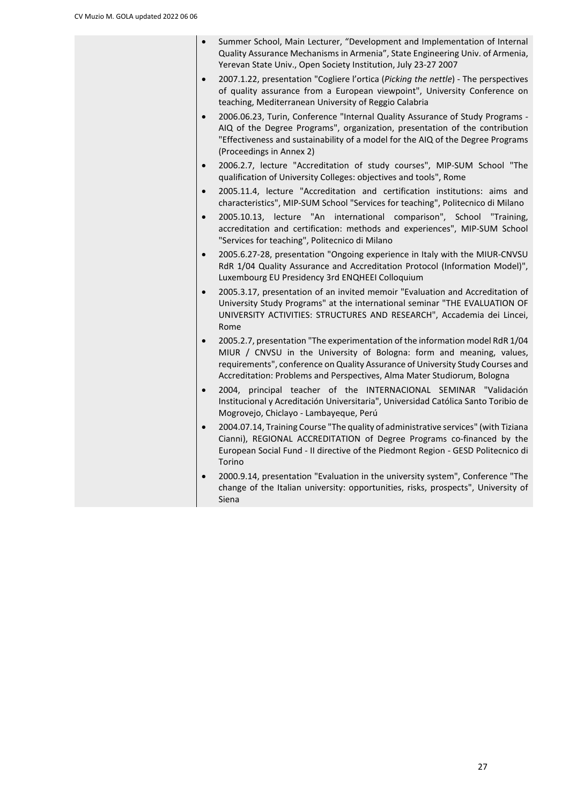| Summer School, Main Lecturer, "Development and Implementation of Internal<br>Quality Assurance Mechanisms in Armenia", State Engineering Univ. of Armenia,<br>Yerevan State Univ., Open Society Institution, July 23-27 2007                                                                                       |
|--------------------------------------------------------------------------------------------------------------------------------------------------------------------------------------------------------------------------------------------------------------------------------------------------------------------|
| 2007.1.22, presentation "Cogliere l'ortica (Picking the nettle) - The perspectives<br>$\bullet$<br>of quality assurance from a European viewpoint", University Conference on<br>teaching, Mediterranean University of Reggio Calabria                                                                              |
| 2006.06.23, Turin, Conference "Internal Quality Assurance of Study Programs -<br>$\bullet$<br>AIQ of the Degree Programs", organization, presentation of the contribution<br>"Effectiveness and sustainability of a model for the AIQ of the Degree Programs<br>(Proceedings in Annex 2)                           |
| 2006.2.7, lecture "Accreditation of study courses", MIP-SUM School "The<br>$\bullet$<br>qualification of University Colleges: objectives and tools", Rome                                                                                                                                                          |
| 2005.11.4, lecture "Accreditation and certification institutions: aims and<br>$\bullet$<br>characteristics", MIP-SUM School "Services for teaching", Politecnico di Milano                                                                                                                                         |
| 2005.10.13, lecture "An international comparison", School "Training,<br>$\bullet$<br>accreditation and certification: methods and experiences", MIP-SUM School<br>"Services for teaching", Politecnico di Milano                                                                                                   |
| 2005.6.27-28, presentation "Ongoing experience in Italy with the MIUR-CNVSU<br>$\bullet$<br>RdR 1/04 Quality Assurance and Accreditation Protocol (Information Model)",<br>Luxembourg EU Presidency 3rd ENQHEEI Colloquium                                                                                         |
| 2005.3.17, presentation of an invited memoir "Evaluation and Accreditation of<br>$\bullet$<br>University Study Programs" at the international seminar "THE EVALUATION OF<br>UNIVERSITY ACTIVITIES: STRUCTURES AND RESEARCH", Accademia dei Lincei,<br>Rome                                                         |
| 2005.2.7, presentation "The experimentation of the information model RdR 1/04<br>MIUR / CNVSU in the University of Bologna: form and meaning, values,<br>requirements", conference on Quality Assurance of University Study Courses and<br>Accreditation: Problems and Perspectives, Alma Mater Studiorum, Bologna |
| 2004, principal teacher of the INTERNACIONAL SEMINAR "Validación<br>Institucional y Acreditación Universitaria", Universidad Católica Santo Toribio de<br>Mogrovejo, Chiclayo - Lambayeque, Perú                                                                                                                   |
| 2004.07.14, Training Course "The quality of administrative services" (with Tiziana<br>Cianni), REGIONAL ACCREDITATION of Degree Programs co-financed by the<br>European Social Fund - II directive of the Piedmont Region - GESD Politecnico di<br>Torino                                                          |
| 2000.9.14, presentation "Evaluation in the university system", Conference "The<br>$\bullet$<br>change of the Italian university: opportunities, risks, prospects", University of<br>Siena                                                                                                                          |
|                                                                                                                                                                                                                                                                                                                    |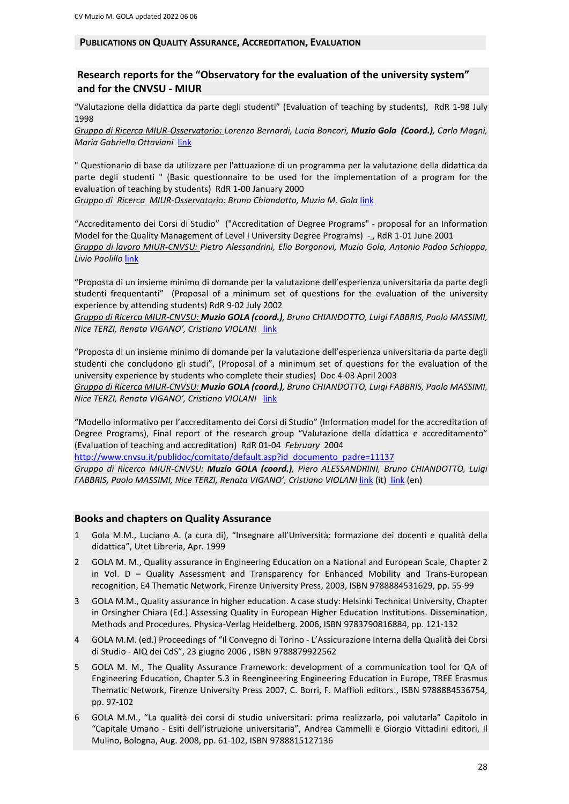#### **PUBLICATIONS ON QUALITY ASSURANCE, ACCREDITATION, EVALUATION**

# **Research reports for the "Observatory for the evaluation of the university system" and for the CNVSU - MIUR**

"Valutazione della didattica da parte degli studenti" (Evaluation of teaching by students), RdR 1-98 July 1998

*Gruppo di Ricerca MIUR-Osservatorio: Lorenzo Bernardi, Lucia Boncori, Muzio Gola (Coord.), Carlo Magni, Maria Gabriella Ottaviani* link

" Questionario di base da utilizzare per l'attuazione di un programma per la valutazione della didattica da parte degli studenti " (Basic questionnaire to be used for the implementation of a program for the evaluation of teaching by students) RdR 1-00 January 2000

Gruppo di Ricerca MIUR-Osservatorio: Bruno Chiandotto, Muzio M. Gola link

"Accreditamento dei Corsi di Studio" ("Accreditation of Degree Programs" - proposal for an Information Model for the Quality Management of Level I University Degree Programs) - , RdR 1-01 June 2001 *Gruppo di lavoro MIUR-CNVSU: Pietro Alessandrini, Elio Borgonovi, Muzio Gola, Antonio Padoa Schioppa, Livio Paolillo* link

"Proposta di un insieme minimo di domande per la valutazione dell'esperienza universitaria da parte degli studenti frequentanti" (Proposal of a minimum set of questions for the evaluation of the university experience by attending students) RdR 9-02 July 2002

*Gruppo di Ricerca MIUR-CNVSU: Muzio GOLA (coord.), Bruno CHIANDOTTO, Luigi FABBRIS, Paolo MASSIMI, Nice TERZI, Renata VIGANO', Cristiano VIOLANI* link

"Proposta di un insieme minimo di domande per la valutazione dell'esperienza universitaria da parte degli studenti che concludono gli studi", (Proposal of a minimum set of questions for the evaluation of the university experience by students who complete their studies) Doc 4-03 April 2003

*Gruppo di Ricerca MIUR-CNVSU: Muzio GOLA (coord.), Bruno CHIANDOTTO, Luigi FABBRIS, Paolo MASSIMI, Nice TERZI, Renata VIGANO', Cristiano VIOLANI* link

"Modello informativo per l'accreditamento dei Corsi di Studio" (Information model for the accreditation of Degree Programs), Final report of the research group "Valutazione della didattica e accreditamento" (Evaluation of teaching and accreditation) RdR 01-04 *February* 2004

[http://www.cnvsu.it/publidoc/comitato/default.asp?id\\_documento\\_padre=11137](http://www.cnvsu.it/publidoc/comitato/default.asp?id_documento_padre=11137)

*Gruppo di Ricerca MIUR-CNVSU: Muzio GOLA (coord.), Piero ALESSANDRINI, Bruno CHIANDOTTO, Luigi FABBRIS, Paolo MASSIMI, Nice TERZI, Renata VIGANO', Cristiano VIOLANI* link (it) link (en)

## **Books and chapters on Quality Assurance**

- 1 Gola M.M., Luciano A. (a cura di), "Insegnare all'Università: formazione dei docenti e qualità della didattica", Utet Libreria, Apr. 1999
- 2 GOLA M. M., Quality assurance in Engineering Education on a National and European Scale, Chapter 2 in Vol. D – Quality Assessment and Transparency for Enhanced Mobility and Trans-European recognition, E4 Thematic Network, Firenze University Press, 2003, ISBN 9788884531629, pp. 55-99
- 3 GOLA M.M., Quality assurance in higher education. A case study: Helsinki Technical University, Chapter in Orsingher Chiara (Ed.) [Assessing Quality in European Higher Education Institutions. Dissemination,](http://ebooks.bibliothek.uni-regensburg.de/1894/)  [Methods and Procedures.](http://ebooks.bibliothek.uni-regensburg.de/1894/) Physica-Verlag Heidelberg. 2006, ISBN 9783790816884, pp. 121-132
- 4 GOLA M.M. (ed.) Proceedings of "Il Convegno di Torino L'Assicurazione Interna della Qualità dei Corsi di Studio - AIQ dei CdS", 23 giugno 2006 , ISBN 9788879922562
- 5 GOLA M. M., The Quality Assurance Framework: development of a communication tool for QA of Engineering Education, Chapter 5.3 in Reengineering Engineering Education in Europe, TREE Erasmus Thematic Network, Firenze University Press 2007, C. Borri, F. Maffioli editors., ISBN 9788884536754, pp. 97-102
- 6 GOLA M.M., "La qualità dei corsi di studio universitari: prima realizzarla, poi valutarla" Capitolo in "Capitale Umano - Esiti dell'istruzione universitaria", Andrea Cammelli e Giorgio Vittadini editori, Il Mulino, Bologna, Aug. 2008, pp. 61-102, ISBN 9788815127136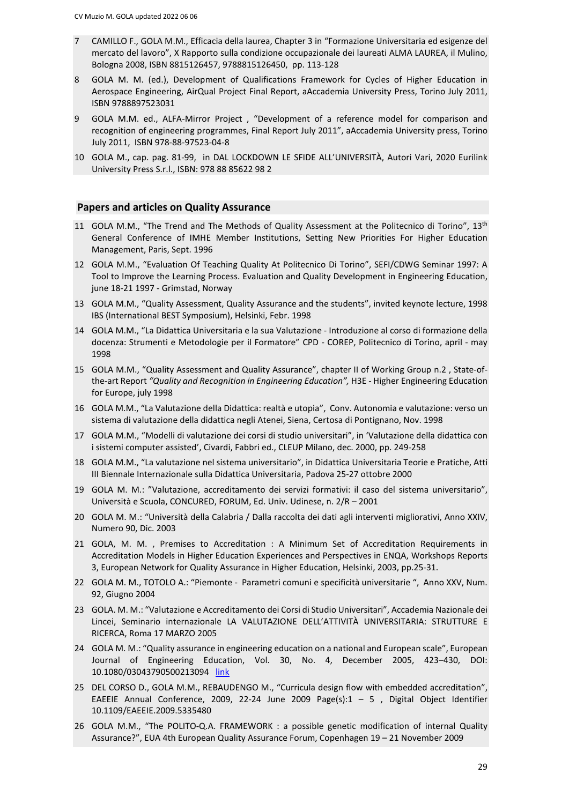- 7 CAMILLO F., GOLA M.M., Efficacia della laurea, Chapter 3 in "Formazione Universitaria ed esigenze del mercato del lavoro", X Rapporto sulla condizione occupazionale dei laureati ALMA LAUREA, il Mulino, Bologna 2008, ISBN 8815126457, 9788815126450, pp. 113-128
- 8 GOLA M. M. (ed.), Development of Qualifications Framework for Cycles of Higher Education in Aerospace Engineering, AirQual Project Final Report, aAccademia University Press, Torino July 2011, ISBN 9788897523031
- 9 GOLA M.M. ed., ALFA-Mirror Project , "Development of a reference model for comparison and recognition of engineering programmes, Final Report July 2011", aAccademia University press, Torino July 2011, ISBN 978-88-97523-04-8
- 10 GOLA M., cap. pag. 81-99, in DAL LOCKDOWN LE SFIDE ALL'UNIVERSITÀ, Autori Vari, 2020 Eurilink University Press S.r.l., ISBN: 978 88 85622 98 2

#### **Papers and articles on Quality Assurance**

- 11 GOLA M.M., "The Trend and The Methods of Quality Assessment at the Politecnico di Torino", 13<sup>th</sup> General Conference of IMHE Member Institutions, Setting New Priorities For Higher Education Management, Paris, Sept. 1996
- 12 GOLA M.M., "Evaluation Of Teaching Quality At Politecnico Di Torino", SEFI/CDWG Seminar 1997: A Tool to Improve the Learning Process. Evaluation and Quality Development in Engineering Education, june 18-21 1997 - Grimstad, Norway
- 13 GOLA M.M., "Quality Assessment, Quality Assurance and the students", invited keynote lecture, 1998 IBS (International BEST Symposium), Helsinki, Febr. 1998
- 14 GOLA M.M., "La Didattica Universitaria e la sua Valutazione Introduzione al corso di formazione della docenza: Strumenti e Metodologie per il Formatore" CPD - COREP, Politecnico di Torino, april - may 1998
- 15 GOLA M.M., "Quality Assessment and Quality Assurance", chapter II of Working Group n.2 , State-ofthe-art Report *"Quality and Recognition in Engineering Education",* H3E - Higher Engineering Education for Europe, july 1998
- 16 GOLA M.M., "La Valutazione della Didattica: realtà e utopia", Conv. Autonomia e valutazione: verso un sistema di valutazione della didattica negli Atenei, Siena, Certosa di Pontignano, Nov. 1998
- 17 GOLA M.M., "Modelli di valutazione dei corsi di studio universitari", in 'Valutazione della didattica con i sistemi computer assisted', Civardi, Fabbri ed., CLEUP Milano, dec. 2000, pp. 249-258
- 18 GOLA M.M., "La valutazione nel sistema universitario", in Didattica Universitaria Teorie e Pratiche, Atti III Biennale Internazionale sulla Didattica Universitaria, Padova 25-27 ottobre 2000
- 19 GOLA M. M.: "Valutazione, accreditamento dei servizi formativi: il caso del sistema universitario", Università e Scuola, CONCURED, FORUM, Ed. Univ. Udinese, n. 2/R – 2001
- 20 GOLA M. M.: "Università della Calabria / Dalla raccolta dei dati agli interventi migliorativi, Anno XXIV, Numero 90, Dic. 2003
- 21 GOLA, M. M. , Premises to Accreditation : A Minimum Set of Accreditation Requirements in Accreditation Models in Higher Education Experiences and Perspectives in ENQA, Workshops Reports 3, European Network for Quality Assurance in Higher Education, Helsinki, 2003, pp.25-31.
- 22 GOLA M. M., TOTOLO A.: "Piemonte Parametri comuni e specificità universitarie ", Anno XXV, Num. 92, Giugno 2004
- 23 GOLA. M. M.: "Valutazione e Accreditamento dei Corsi di Studio Universitari", Accademia Nazionale dei Lincei, Seminario internazionale LA VALUTAZIONE DELL'ATTIVITÀ UNIVERSITARIA: STRUTTURE E RICERCA, Roma 17 MARZO 2005
- 24 GOLA M. M.: "Quality assurance in engineering education on a national and European scale", European Journal of Engineering Education, Vol. 30, No. 4, December 2005, 423–430, DOI: 10.1080/03043790500213094 link
- 25 DEL CORSO D., GOLA M.M., REBAUDENGO M., "Curricula design flow with embedded accreditation", EAEEIE Annual Conference, 2009, 22-24 June 2009 Page(s): $1 - 5$ , Digital Object Identifier 10.1109/EAEEIE.2009.5335480
- 26 GOLA M.M., "The POLITO-Q.A. FRAMEWORK : a possible genetic modification of internal Quality Assurance?", EUA 4th European Quality Assurance Forum, Copenhagen 19 – 21 November 2009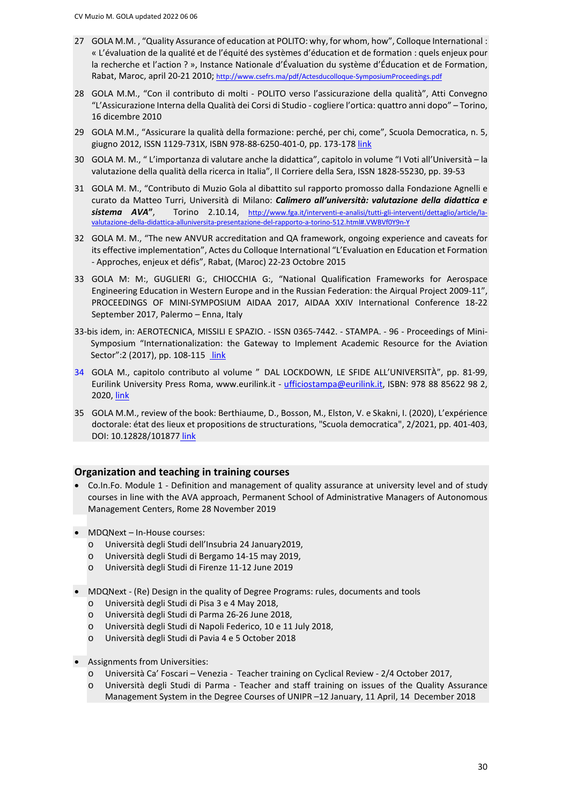- 27 GOLA M.M. , "Quality Assurance of education at POLITO: why, for whom, how", Colloque International : « L'évaluation de la qualité et de l'équité des systèmes d'éducation et de formation : quels enjeux pour la recherche et l'action ? », Instance Nationale d'Évaluation du système d'Éducation et de Formation, Rabat, Maroc, april 20-21 2010; <http://www.csefrs.ma/pdf/Actesducolloque-SymposiumProceedings.pdf>
- 28 GOLA M.M., "Con il contributo di molti POLITO verso l'assicurazione della qualità", Atti Convegno "L'Assicurazione Interna della Qualità dei Corsi di Studio - cogliere l'ortica: quattro anni dopo" – Torino, 16 dicembre 2010
- 29 GOLA M.M., "Assicurare la qualità della formazione: perché, per chi, come", Scuola Democratica, n. 5, giugno 2012, ISSN 1129-731X, ISBN 978-88-6250-401-0, pp. 173-178 link
- 30 GOLA M. M., " L'importanza di valutare anche la didattica", capitolo in volume "I Voti all'Università la valutazione della qualità della ricerca in Italia", Il Corriere della Sera, ISSN 1828-55230, pp. 39-53
- 31 GOLA M. M., "Contributo di Muzio Gola al dibattito sul rapporto promosso dalla Fondazione Agnelli e curato da Matteo Turri, Università di Milano: *Calimero all'università: valutazione della didattica e sistema AVA***"**, Torino 2.10.14, [http://www.fga.it/interventi-e-analisi/tutti-gli-interventi/dettaglio/article/la](http://www.fga.it/interventi-e-analisi/tutti-gli-interventi/dettaglio/article/la-valutazione-della-didattica-alluniversita-presentazione-del-rapporto-a-torino-512.html#.VWBVf0Y9n-Y)[valutazione-della-didattica-alluniversita-presentazione-del-rapporto-a-torino-512.html#.VWBVf0Y9n-Y](http://www.fga.it/interventi-e-analisi/tutti-gli-interventi/dettaglio/article/la-valutazione-della-didattica-alluniversita-presentazione-del-rapporto-a-torino-512.html#.VWBVf0Y9n-Y)
- 32 GOLA M. M., "The new ANVUR accreditation and QA framework, ongoing experience and caveats for its effective implementation", Actes du Colloque International "L'Evaluation en Education et Formation - Approches, enjeux et défis", Rabat, (Maroc) 22-23 Octobre 2015
- 33 GOLA M: M:, GUGLIERI G:, CHIOCCHIA G:, "National Qualification Frameworks for Aerospace Engineering Education in Western Europe and in the Russian Federation: the Airqual Project 2009-11", PROCEEDINGS OF MINI-SYMPOSIUM AIDAA 2017, AIDAA XXIV International Conference 18-22 September 2017, Palermo – Enna, Italy
- 33-bis idem, in: AEROTECNICA, MISSILI E SPAZIO. ISSN 0365-7442. STAMPA. 96 Proceedings of Mini-Symposium "Internationalization: the Gateway to Implement Academic Resource for the Aviation Sector": 2 (2017), pp. 108-115 link
- 34 GOLA M., capitolo contributo al volume " DAL LOCKDOWN, LE SFIDE ALL'UNIVERSITÀ", pp. 81-99, Eurilink University Press Roma, www.eurilink.it - [ufficiostampa@eurilink.it,](mailto:ufficiostampa@eurilink.it) ISBN: 978 88 85622 98 2, 2020, link
- 35 GOLA M.M., review of the book: Berthiaume, D., Bosson, M., Elston, V. e Skakni, I. (2020), L'expérience doctorale: état des lieux et propositions de structurations, "Scuola democratica", 2/2021, pp. 401-403, DOI: 10.12828/101877 link

## **Organization and teaching in training courses**

- Co.In.Fo. Module 1 Definition and management of quality assurance at university level and of study courses in line with the AVA approach, Permanent School of Administrative Managers of Autonomous Management Centers, Rome 28 November 2019
- MDQNext In-House courses:
	-
	- o Università degli Studi dell'Insubria 24 January2019, Università degli Studi di Bergamo 14-15 may 2019,
	- o Università degli Studi di Firenze 11-12 June 2019
- MDQNext (Re) Design in the quality of Degree Programs: rules, documents and tools
	-
	- o Università degli Studi di Pisa 3 e 4 May 2018, o Università degli Studi di Parma 26-26 June 2018,
	- Università degli Studi di Napoli Federico, 10 e 11 July 2018,
	- o Università degli Studi di Pavia 4 e 5 October 2018
- Assignments from Universities:
	- o Università Ca' Foscari Venezia Teacher training on Cyclical Review 2/4 October 2017,
	- o Università degli Studi di Parma Teacher and staff training on issues of the Quality Assurance Management System in the Degree Courses of UNIPR –12 January, 11 April, 14 December 2018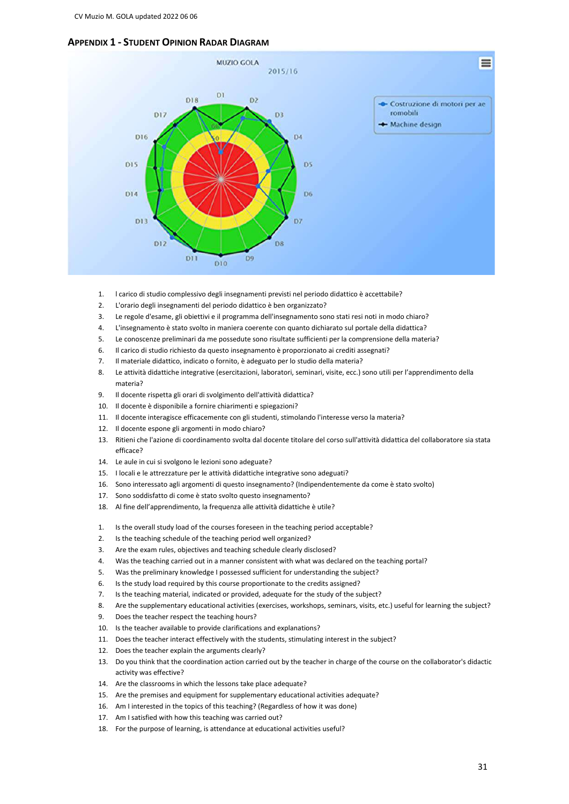



- 1. l carico di studio complessivo degli insegnamenti previsti nel periodo didattico è accettabile?
- 2. L'orario degli insegnamenti del periodo didattico è ben organizzato?
- 3. Le regole d'esame, gli obiettivi e il programma dell'insegnamento sono stati resi noti in modo chiaro?
- 4. L'insegnamento è stato svolto in maniera coerente con quanto dichiarato sul portale della didattica?
- 5. Le conoscenze preliminari da me possedute sono risultate sufficienti per la comprensione della materia?
- 6. Il carico di studio richiesto da questo insegnamento è proporzionato ai crediti assegnati?
- 7. Il materiale didattico, indicato o fornito, è adeguato per lo studio della materia?
- 8. Le attività didattiche integrative (esercitazioni, laboratori, seminari, visite, ecc.) sono utili per l'apprendimento della materia?
- 9. Il docente rispetta gli orari di svolgimento dell'attività didattica?
- 10. Il docente è disponibile a fornire chiarimenti e spiegazioni?
- 11. Il docente interagisce efficacemente con gli studenti, stimolando l'interesse verso la materia?
- 12. Il docente espone gli argomenti in modo chiaro?
- 13. Ritieni che l'azione di coordinamento svolta dal docente titolare del corso sull'attività didattica del collaboratore sia stata efficace?
- 14. Le aule in cui si svolgono le lezioni sono adeguate?
- 15. I locali e le attrezzature per le attività didattiche integrative sono adeguati?
- 16. Sono interessato agli argomenti di questo insegnamento? (Indipendentemente da come è stato svolto)
- 17. Sono soddisfatto di come è stato svolto questo insegnamento?
- 18. Al fine dell'apprendimento, la frequenza alle attività didattiche è utile?
- 1. Is the overall study load of the courses foreseen in the teaching period acceptable?
- 2. Is the teaching schedule of the teaching period well organized?
- 3. Are the exam rules, objectives and teaching schedule clearly disclosed?
- 4. Was the teaching carried out in a manner consistent with what was declared on the teaching portal?
- 5. Was the preliminary knowledge I possessed sufficient for understanding the subject?
- 6. Is the study load required by this course proportionate to the credits assigned?
- 7. Is the teaching material, indicated or provided, adequate for the study of the subject?
- 8. Are the supplementary educational activities (exercises, workshops, seminars, visits, etc.) useful for learning the subject?
- 9. Does the teacher respect the teaching hours?
- 10. Is the teacher available to provide clarifications and explanations?
- 11. Does the teacher interact effectively with the students, stimulating interest in the subject?
- 12. Does the teacher explain the arguments clearly?
- 13. Do you think that the coordination action carried out by the teacher in charge of the course on the collaborator's didactic activity was effective?
- 14. Are the classrooms in which the lessons take place adequate?
- 15. Are the premises and equipment for supplementary educational activities adequate?
- 16. Am I interested in the topics of this teaching? (Regardless of how it was done)
- 17. Am I satisfied with how this teaching was carried out?
- 18. For the purpose of learning, is attendance at educational activities useful?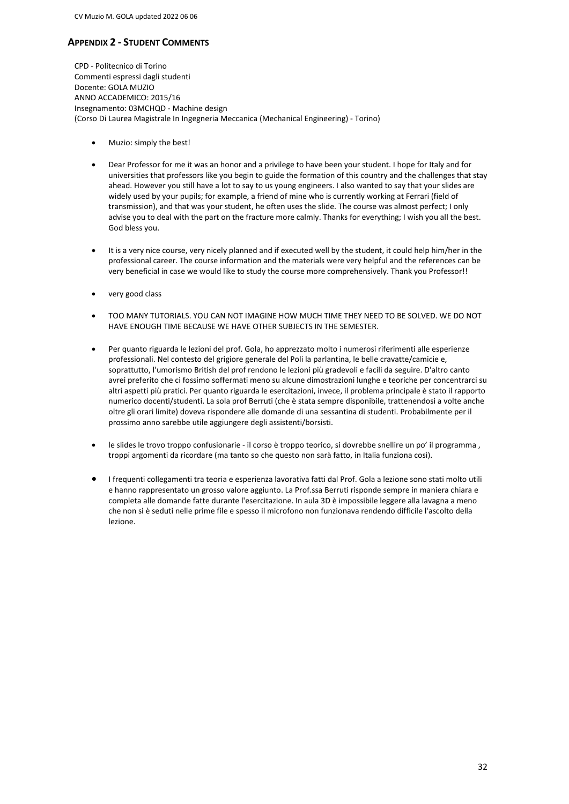## **APPENDIX 2 - STUDENT COMMENTS**

CPD - Politecnico di Torino Commenti espressi dagli studenti Docente: GOLA MUZIO ANNO ACCADEMICO: 2015/16 Insegnamento: 03MCHQD - Machine design (Corso Di Laurea Magistrale In Ingegneria Meccanica (Mechanical Engineering) - Torino)

- Muzio: simply the best!
- Dear Professor for me it was an honor and a privilege to have been your student. I hope for Italy and for universities that professors like you begin to guide the formation of this country and the challenges that stay ahead. However you still have a lot to say to us young engineers. I also wanted to say that your slides are widely used by your pupils; for example, a friend of mine who is currently working at Ferrari (field of transmission), and that was your student, he often uses the slide. The course was almost perfect; I only advise you to deal with the part on the fracture more calmly. Thanks for everything; I wish you all the best. God bless you.
- It is a very nice course, very nicely planned and if executed well by the student, it could help him/her in the professional career. The course information and the materials were very helpful and the references can be very beneficial in case we would like to study the course more comprehensively. Thank you Professor!!
- very good class
- TOO MANY TUTORIALS. YOU CAN NOT IMAGINE HOW MUCH TIME THEY NEED TO BE SOLVED. WE DO NOT HAVE ENOUGH TIME BECAUSE WE HAVE OTHER SUBJECTS IN THE SEMESTER.
- Per quanto riguarda le lezioni del prof. Gola, ho apprezzato molto i numerosi riferimenti alle esperienze professionali. Nel contesto del grigiore generale del Poli la parlantina, le belle cravatte/camicie e, soprattutto, l'umorismo British del prof rendono le lezioni più gradevoli e facili da seguire. D'altro canto avrei preferito che ci fossimo soffermati meno su alcune dimostrazioni lunghe e teoriche per concentrarci su altri aspetti più pratici. Per quanto riguarda le esercitazioni, invece, il problema principale è stato il rapporto numerico docenti/studenti. La sola prof Berruti (che è stata sempre disponibile, trattenendosi a volte anche oltre gli orari limite) doveva rispondere alle domande di una sessantina di studenti. Probabilmente per il prossimo anno sarebbe utile aggiungere degli assistenti/borsisti.
- le slides le trovo troppo confusionarie il corso è troppo teorico, si dovrebbe snellire un po' il programma , troppi argomenti da ricordare (ma tanto so che questo non sarà fatto, in Italia funziona così).
- I frequenti collegamenti tra teoria e esperienza lavorativa fatti dal Prof. Gola a lezione sono stati molto utili e hanno rappresentato un grosso valore aggiunto. La Prof.ssa Berruti risponde sempre in maniera chiara e completa alle domande fatte durante l'esercitazione. In aula 3D è impossibile leggere alla lavagna a meno che non si è seduti nelle prime file e spesso il microfono non funzionava rendendo difficile l'ascolto della lezione.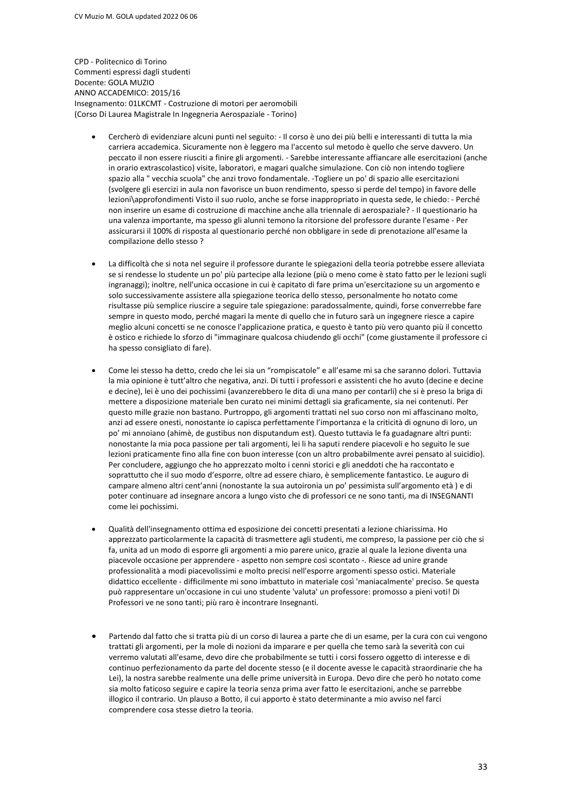CPD - Politecnico di Torino Commenti espressi dagli studenti Docente: GOLA MUZIO ANNO ACCADEMICO: 2015/16 Insegnamento: 01LKCMT - Costruzione di motori per aeromobili (Corso Di Laurea Magistrale In Ingegneria Aerospaziale - Torino)

- Cercherò di evidenziare alcuni punti nel seguito: Il corso è uno dei più belli e interessanti di tutta la mia carriera accademica. Sicuramente non è leggero ma l'accento sul metodo è quello che serve davvero. Un peccato il non essere riusciti a finire gli argomenti. - Sarebbe interessante affiancare alle esercitazioni (anche in orario extrascolastico) visite, laboratori, e magari qualche simulazione. Con ciò non intendo togliere spazio alla " vecchia scuola" che anzi trovo fondamentale. -Togliere un po' di spazio alle esercitazioni (svolgere gli esercizi in aula non favorisce un buon rendimento, spesso si perde del tempo) in favore delle lezioni\approfondimenti Visto il suo ruolo, anche se forse inappropriato in questa sede, le chiedo: - Perché non inserire un esame di costruzione di macchine anche alla triennale di aerospaziale? - Il questionario ha una valenza importante, ma spesso gli alunni temono la ritorsione del professore durante l'esame - Per assicurarsi il 100% di risposta al questionario perché non obbligare in sede di prenotazione all'esame la compilazione dello stesso ?
- La difficoltà che si nota nel seguire il professore durante le spiegazioni della teoria potrebbe essere alleviata se si rendesse lo studente un po' più partecipe alla lezione (più o meno come è stato fatto per le lezioni sugli ingranaggi); inoltre, nell'unica occasione in cui è capitato di fare prima un'esercitazione su un argomento e solo successivamente assistere alla spiegazione teorica dello stesso, personalmente ho notato come risultasse più semplice riuscire a seguire tale spiegazione: paradossalmente, quindi, forse converrebbe fare sempre in questo modo, perché magari la mente di quello che in futuro sarà un ingegnere riesce a capire meglio alcuni concetti se ne conosce l'applicazione pratica, e questo è tanto più vero quanto più il concetto è ostico e richiede lo sforzo di "immaginare qualcosa chiudendo gli occhi" (come giustamente il professore ci ha spesso consigliato di fare).
- Come lei stesso ha detto, credo che lei sia un "rompiscatole" e all'esame mi sa che saranno dolori. Tuttavia la mia opinione è tutt'altro che negativa, anzi. Di tutti i professori e assistenti che ho avuto (decine e decine e decine), lei è uno dei pochissimi (avanzerebbero le dita di una mano per contarli) che si è preso la briga di mettere a disposizione materiale ben curato nei minimi dettagli sia graficamente, sia nei contenuti. Per questo mille grazie non bastano. Purtroppo, gli argomenti trattati nel suo corso non mi affascinano molto, anzi ad essere onesti, nonostante io capisca perfettamente l'importanza e la criticità di ognuno di loro, un po' mi annoiano (ahimè, de gustibus non disputandum est). Questo tuttavia le fa guadagnare altri punti: nonostante la mia poca passione per tali argomenti, lei li ha saputi rendere piacevoli e ho seguito le sue lezioni praticamente fino alla fine con buon interesse (con un altro probabilmente avrei pensato al suicidio). Per concludere, aggiungo che ho apprezzato molto i cenni storici e gli aneddoti che ha raccontato e soprattutto che il suo modo d'esporre, oltre ad essere chiaro, è semplicemente fantastico. Le auguro di campare almeno altri cent'anni (nonostante la sua autoironia un po' pessimista sull'argomento età ) e di poter continuare ad insegnare ancora a lungo visto che di professori ce ne sono tanti, ma di INSEGNANTI come lei pochissimi.
- Qualità dell'insegnamento ottima ed esposizione dei concetti presentati a lezione chiarissima. Ho apprezzato particolarmente la capacità di trasmettere agli studenti, me compreso, la passione per ciò che si fa, unita ad un modo di esporre gli argomenti a mio parere unico, grazie al quale la lezione diventa una piacevole occasione per apprendere - aspetto non sempre così scontato -. Riesce ad unire grande professionalità a modi piacevolissimi e molto precisi nell'esporre argomenti spesso ostici. Materiale didattico eccellente - difficilmente mi sono imbattuto in materiale così 'maniacalmente' preciso. Se questa può rappresentare un'occasione in cui uno studente 'valuta' un professore: promosso a pieni voti! Di Professori ve ne sono tanti; più raro è incontrare Insegnanti.
- Partendo dal fatto che si tratta più di un corso di laurea a parte che di un esame, per la cura con cui vengono trattati gli argomenti, per la mole di nozioni da imparare e per quella che temo sarà la severità con cui verremo valutati all'esame, devo dire che probabilmente se tutti i corsi fossero oggetto di interesse e di continuo perfezionamento da parte del docente stesso (e il docente avesse le capacità straordinarie che ha Lei), la nostra sarebbe realmente una delle prime università in Europa. Devo dire che però ho notato come sia molto faticoso seguire e capire la teoria senza prima aver fatto le esercitazioni, anche se parrebbe illogico il contrario. Un plauso a Botto, il cui apporto è stato determinante a mio avviso nel farci comprendere cosa stesse dietro la teoria.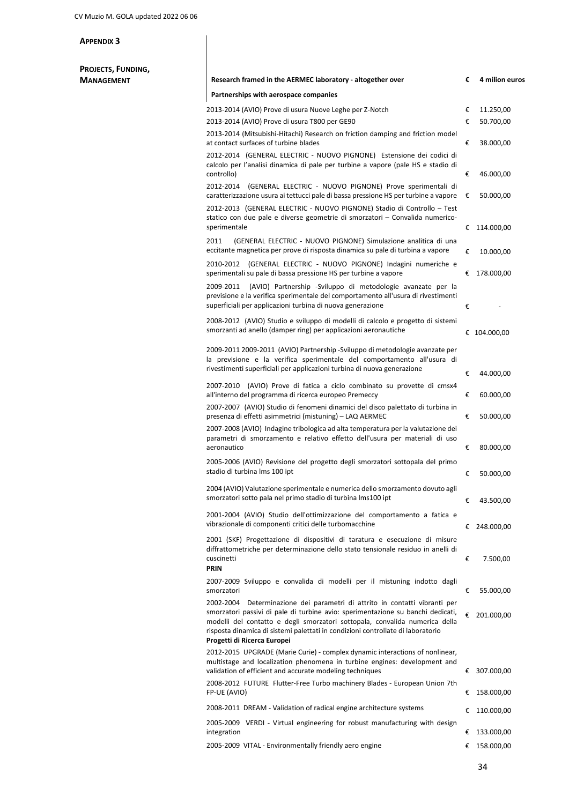## **APPENDIX 3**

**PROJECTS, FUNDING,**

| Research framed in the AERMEC laboratory - altogether over                                                                                                                                                                                                                                                                   | € | 4 milion euros |
|------------------------------------------------------------------------------------------------------------------------------------------------------------------------------------------------------------------------------------------------------------------------------------------------------------------------------|---|----------------|
| Partnerships with aerospace companies                                                                                                                                                                                                                                                                                        |   |                |
| 2013-2014 (AVIO) Prove di usura Nuove Leghe per Z-Notch                                                                                                                                                                                                                                                                      | € | 11.250,00      |
| 2013-2014 (AVIO) Prove di usura T800 per GE90                                                                                                                                                                                                                                                                                | € | 50.700,00      |
| 2013-2014 (Mitsubishi-Hitachi) Research on friction damping and friction model<br>at contact surfaces of turbine blades                                                                                                                                                                                                      | € | 38.000,00      |
| 2012-2014 (GENERAL ELECTRIC - NUOVO PIGNONE) Estensione dei codici di<br>calcolo per l'analisi dinamica di pale per turbine a vapore (pale HS e stadio di<br>controllo)                                                                                                                                                      | € | 46.000,00      |
| 2012-2014<br>(GENERAL ELECTRIC - NUOVO PIGNONE) Prove sperimentali di<br>caratterizzazione usura ai tettucci pale di bassa pressione HS per turbine a vapore                                                                                                                                                                 |   | 50.000,00      |
| 2012-2013 (GENERAL ELECTRIC - NUOVO PIGNONE) Stadio di Controllo - Test<br>statico con due pale e diverse geometrie di smorzatori – Convalida numerico-<br>sperimentale                                                                                                                                                      |   | 114.000,00     |
| 2011<br>(GENERAL ELECTRIC - NUOVO PIGNONE) Simulazione analitica di una<br>eccitante magnetica per prove di risposta dinamica su pale di turbina a vapore                                                                                                                                                                    |   | 10.000,00      |
| (GENERAL ELECTRIC - NUOVO PIGNONE) Indagini numeriche e<br>2010-2012<br>sperimentali su pale di bassa pressione HS per turbine a vapore                                                                                                                                                                                      |   | 178.000,00     |
| 2009-2011<br>(AVIO) Partnership -Sviluppo di metodologie avanzate per la<br>previsione e la verifica sperimentale del comportamento all'usura di rivestimenti<br>superficiali per applicazioni turbina di nuova generazione                                                                                                  | € |                |
| 2008-2012 (AVIO) Studio e sviluppo di modelli di calcolo e progetto di sistemi<br>smorzanti ad anello (damper ring) per applicazioni aeronautiche                                                                                                                                                                            |   | € 104.000,00   |
| 2009-2011 2009-2011 (AVIO) Partnership -Sviluppo di metodologie avanzate per<br>la previsione e la verifica sperimentale del comportamento all'usura di<br>rivestimenti superficiali per applicazioni turbina di nuova generazione                                                                                           | € | 44.000,00      |
| 2007-2010 (AVIO) Prove di fatica a ciclo combinato su provette di cmsx4<br>all'interno del programma di ricerca europeo Premeccy                                                                                                                                                                                             | € | 60.000,00      |
| 2007-2007 (AVIO) Studio di fenomeni dinamici del disco palettato di turbina in<br>presenza di effetti asimmetrici (mistuning) – LAQ AERMEC<br>2007-2008 (AVIO) Indagine tribologica ad alta temperatura per la valutazione dei<br>parametri di smorzamento e relativo effetto dell'usura per materiali di uso<br>aeronautico |   | 50.000,00      |
|                                                                                                                                                                                                                                                                                                                              |   | 80.000,00      |
| 2005-2006 (AVIO) Revisione del progetto degli smorzatori sottopala del primo<br>stadio di turbina lms 100 ipt                                                                                                                                                                                                                | € | 50.000,00      |
| 2004 (AVIO) Valutazione sperimentale e numerica dello smorzamento dovuto agli<br>smorzatori sotto pala nel primo stadio di turbina lms100 ipt                                                                                                                                                                                |   | 43.500,00<br>£ |
| 2001-2004 (AVIO) Studio dell'ottimizzazione del comportamento a fatica e<br>vibrazionale di componenti critici delle turbomacchine                                                                                                                                                                                           |   | 248.000,00     |
| 2001 (SKF) Progettazione di dispositivi di taratura e esecuzione di misure<br>diffrattometriche per determinazione dello stato tensionale residuo in anelli di<br>cuscinetti                                                                                                                                                 | € | 7.500,00       |
| <b>PRIN</b><br>2007-2009 Sviluppo e convalida di modelli per il mistuning indotto dagli                                                                                                                                                                                                                                      |   |                |
| smorzatori<br>Determinazione dei parametri di attrito in contatti vibranti per<br>2002-2004                                                                                                                                                                                                                                  | € | 55.000,00      |
| smorzatori passivi di pale di turbine avio: sperimentazione su banchi dedicati,<br>modelli del contatto e degli smorzatori sottopala, convalida numerica della<br>risposta dinamica di sistemi palettati in condizioni controllate di laboratorio<br>Progetti di Ricerca Europei                                             |   | 201.000,00     |
| 2012-2015 UPGRADE (Marie Curie) - complex dynamic interactions of nonlinear,<br>multistage and localization phenomena in turbine engines: development and<br>validation of efficient and accurate modeling techniques                                                                                                        | € | 307.000,00     |
| 2008-2012 FUTURE Flutter-Free Turbo machinery Blades - European Union 7th<br>FP-UE (AVIO)                                                                                                                                                                                                                                    |   | 158.000,00     |
| 2008-2011 DREAM - Validation of radical engine architecture systems                                                                                                                                                                                                                                                          | € | 110.000,00     |
| 2005-2009 VERDI - Virtual engineering for robust manufacturing with design<br>integration                                                                                                                                                                                                                                    | € | 133.000,00     |
| 2005-2009 VITAL - Environmentally friendly aero engine                                                                                                                                                                                                                                                                       | € | 158.000,00     |